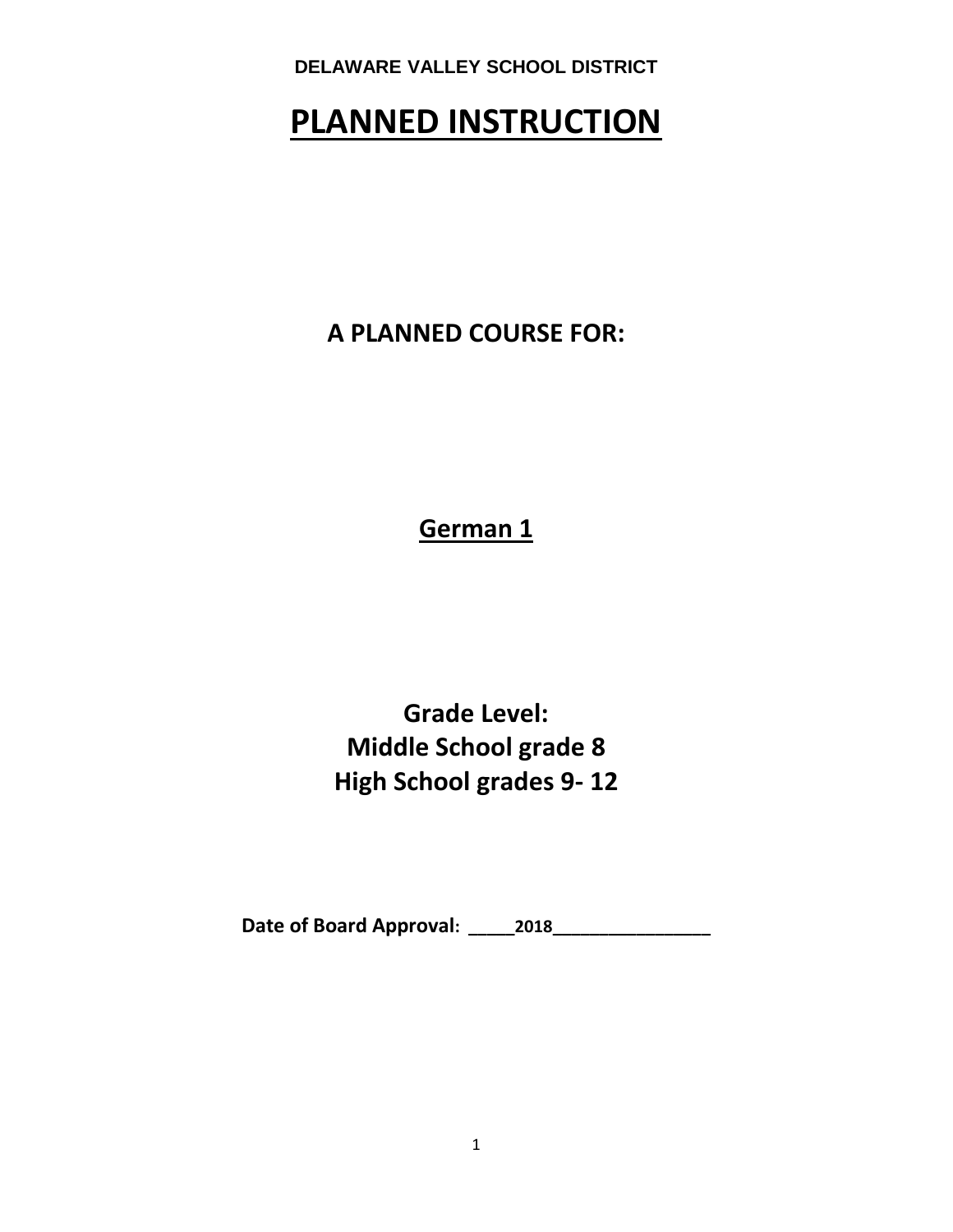# **PLANNED INSTRUCTION**

**A PLANNED COURSE FOR:**

**German 1**

**Grade Level: Middle School grade 8 High School grades 9- 12**

**Date of Board Approval: \_\_\_\_\_2018\_\_\_\_\_\_\_\_\_\_\_\_\_\_\_\_\_**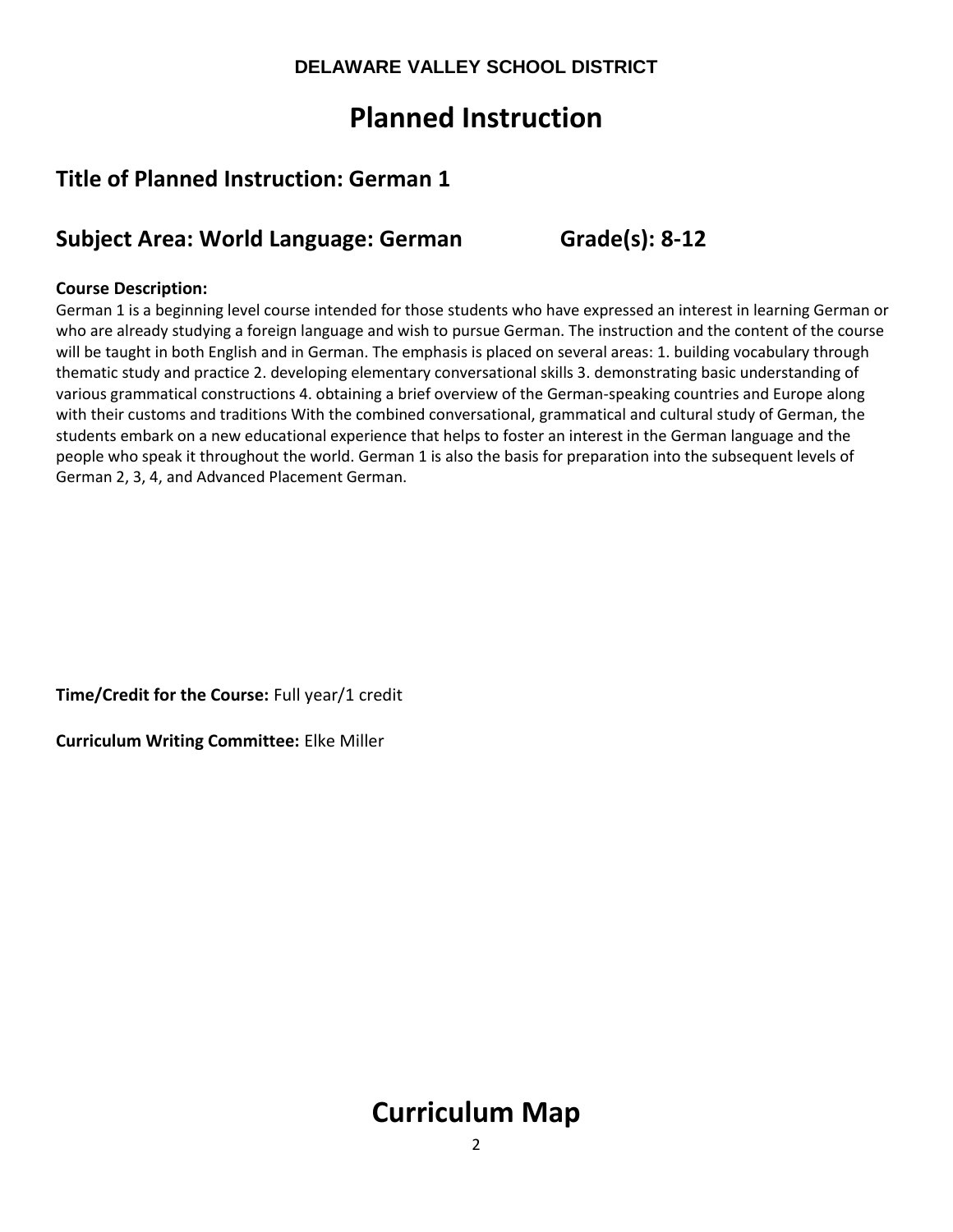# **Planned Instruction**

## **Title of Planned Instruction: German 1**

## **Subject Area: World Language: German Grade(s): 8-12**

## **Course Description:**

German 1 is a beginning level course intended for those students who have expressed an interest in learning German or who are already studying a foreign language and wish to pursue German. The instruction and the content of the course will be taught in both English and in German. The emphasis is placed on several areas: 1. building vocabulary through thematic study and practice 2. developing elementary conversational skills 3. demonstrating basic understanding of various grammatical constructions 4. obtaining a brief overview of the German-speaking countries and Europe along with their customs and traditions With the combined conversational, grammatical and cultural study of German, the students embark on a new educational experience that helps to foster an interest in the German language and the people who speak it throughout the world. German 1 is also the basis for preparation into the subsequent levels of German 2, 3, 4, and Advanced Placement German.

**Time/Credit for the Course:** Full year/1 credit

**Curriculum Writing Committee:** Elke Miller

# **Curriculum Map**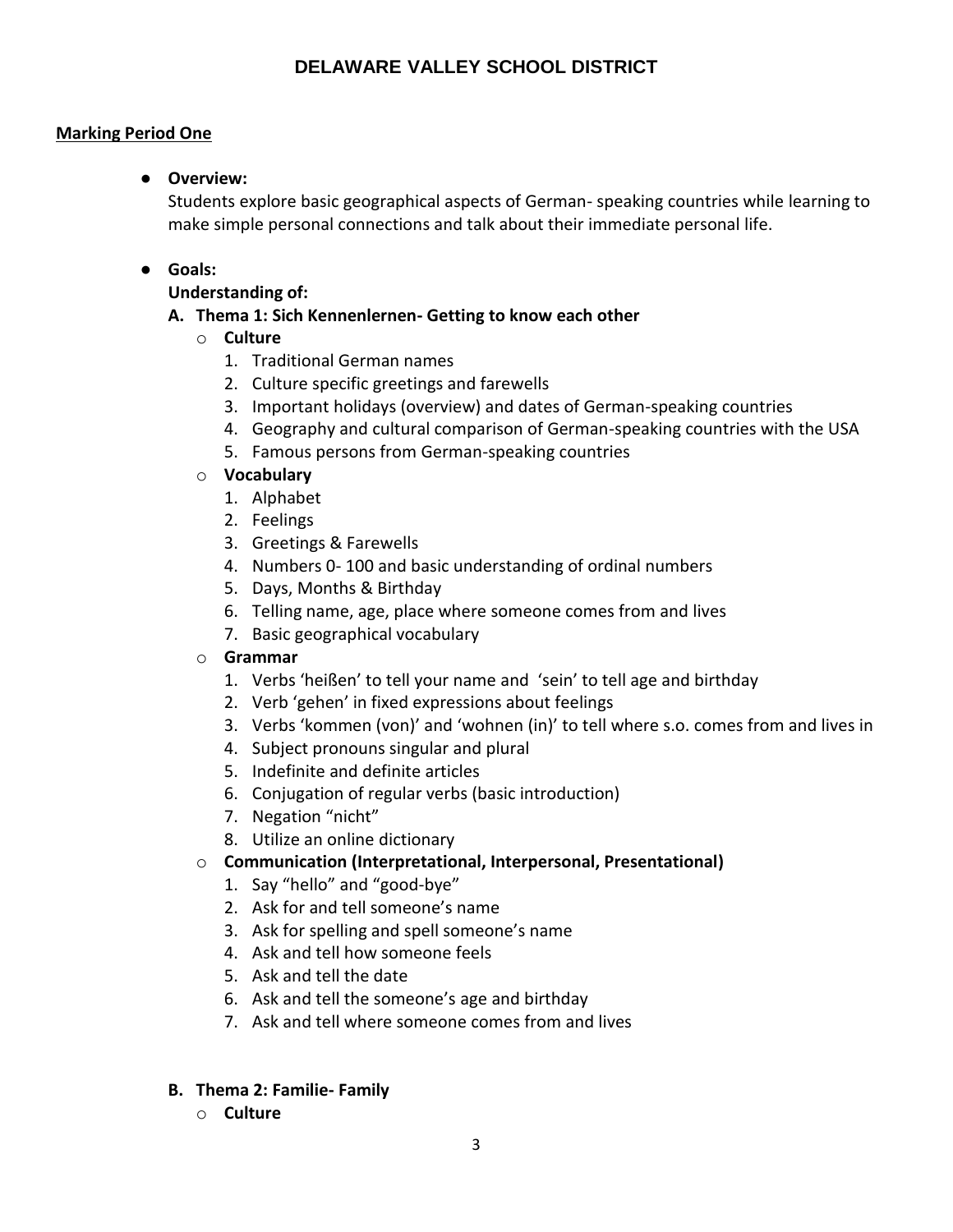## **Marking Period One**

## ● **Overview:**

Students explore basic geographical aspects of German- speaking countries while learning to make simple personal connections and talk about their immediate personal life.

## ● **Goals:**

## **Understanding of:**

## **A. Thema 1: Sich Kennenlernen- Getting to know each other**

## o **Culture**

- 1. Traditional German names
- 2. Culture specific greetings and farewells
- 3. Important holidays (overview) and dates of German-speaking countries
- 4. Geography and cultural comparison of German-speaking countries with the USA
- 5. Famous persons from German-speaking countries

## o **Vocabulary**

- 1. Alphabet
- 2. Feelings
- 3. Greetings & Farewells
- 4. Numbers 0- 100 and basic understanding of ordinal numbers
- 5. Days, Months & Birthday
- 6. Telling name, age, place where someone comes from and lives
- 7. Basic geographical vocabulary

## o **Grammar**

- 1. Verbs 'heißen' to tell your name and 'sein' to tell age and birthday
- 2. Verb 'gehen' in fixed expressions about feelings
- 3. Verbs 'kommen (von)' and 'wohnen (in)' to tell where s.o. comes from and lives in
- 4. Subject pronouns singular and plural
- 5. Indefinite and definite articles
- 6. Conjugation of regular verbs (basic introduction)
- 7. Negation "nicht"
- 8. Utilize an online dictionary

## o **Communication (Interpretational, Interpersonal, Presentational)**

- 1. Say "hello" and "good-bye"
- 2. Ask for and tell someone's name
- 3. Ask for spelling and spell someone's name
- 4. Ask and tell how someone feels
- 5. Ask and tell the date
- 6. Ask and tell the someone's age and birthday
- 7. Ask and tell where someone comes from and lives
- **B. Thema 2: Familie- Family**
	- o **Culture**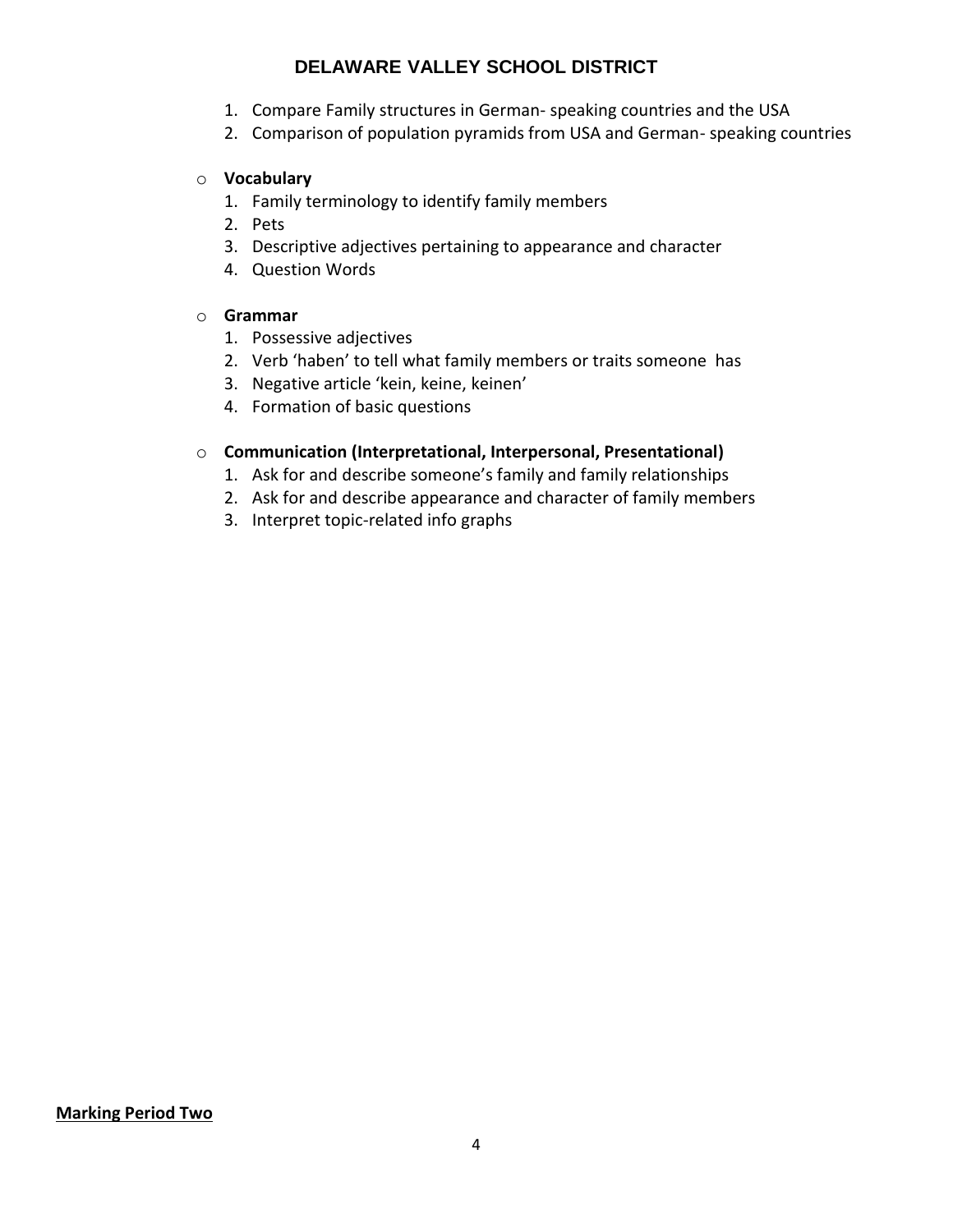- 1. Compare Family structures in German- speaking countries and the USA
- 2. Comparison of population pyramids from USA and German- speaking countries

## o **Vocabulary**

- 1. Family terminology to identify family members
- 2. Pets
- 3. Descriptive adjectives pertaining to appearance and character
- 4. Question Words

## o **Grammar**

- 1. Possessive adjectives
- 2. Verb 'haben' to tell what family members or traits someone has
- 3. Negative article 'kein, keine, keinen'
- 4. Formation of basic questions

## o **Communication (Interpretational, Interpersonal, Presentational)**

- 1. Ask for and describe someone's family and family relationships
- 2. Ask for and describe appearance and character of family members
- 3. Interpret topic-related info graphs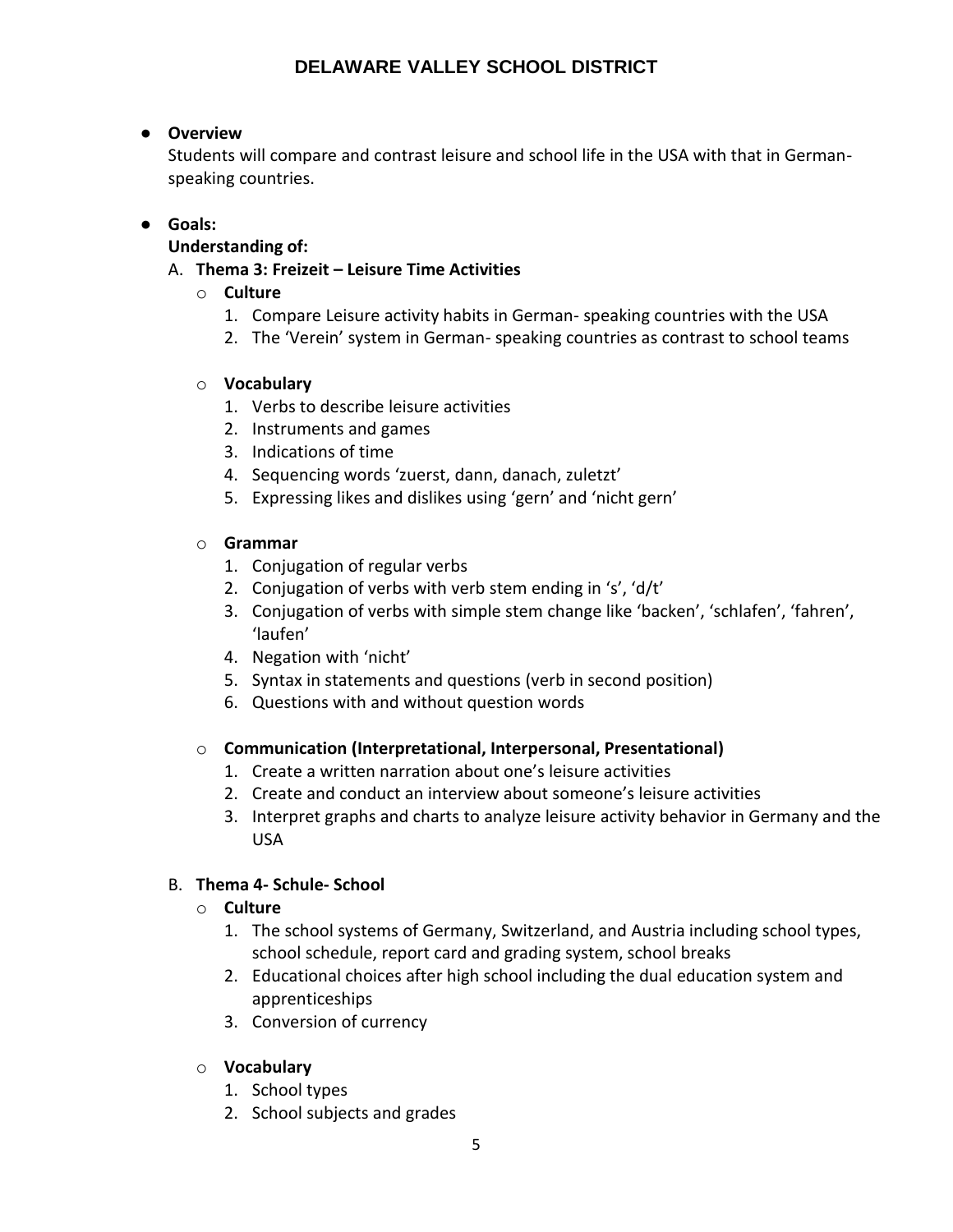## ● **Overview**

Students will compare and contrast leisure and school life in the USA with that in Germanspeaking countries.

## ● **Goals:**

## **Understanding of:**

- A. **Thema 3: Freizeit – Leisure Time Activities** 
	- o **Culture**
		- 1. Compare Leisure activity habits in German- speaking countries with the USA
		- 2. The 'Verein' system in German- speaking countries as contrast to school teams

## o **Vocabulary**

- 1. Verbs to describe leisure activities
- 2. Instruments and games
- 3. Indications of time
- 4. Sequencing words 'zuerst, dann, danach, zuletzt'
- 5. Expressing likes and dislikes using 'gern' and 'nicht gern'

## o **Grammar**

- 1. Conjugation of regular verbs
- 2. Conjugation of verbs with verb stem ending in 's', 'd/t'
- 3. Conjugation of verbs with simple stem change like 'backen', 'schlafen', 'fahren', 'laufen'
- 4. Negation with 'nicht'
- 5. Syntax in statements and questions (verb in second position)
- 6. Questions with and without question words

## o **Communication (Interpretational, Interpersonal, Presentational)**

- 1. Create a written narration about one's leisure activities
- 2. Create and conduct an interview about someone's leisure activities
- 3. Interpret graphs and charts to analyze leisure activity behavior in Germany and the USA

## B. **Thema 4- Schule- School**

## o **Culture**

- 1. The school systems of Germany, Switzerland, and Austria including school types, school schedule, report card and grading system, school breaks
- 2. Educational choices after high school including the dual education system and apprenticeships
- 3. Conversion of currency

## o **Vocabulary**

- 1. School types
- 2. School subjects and grades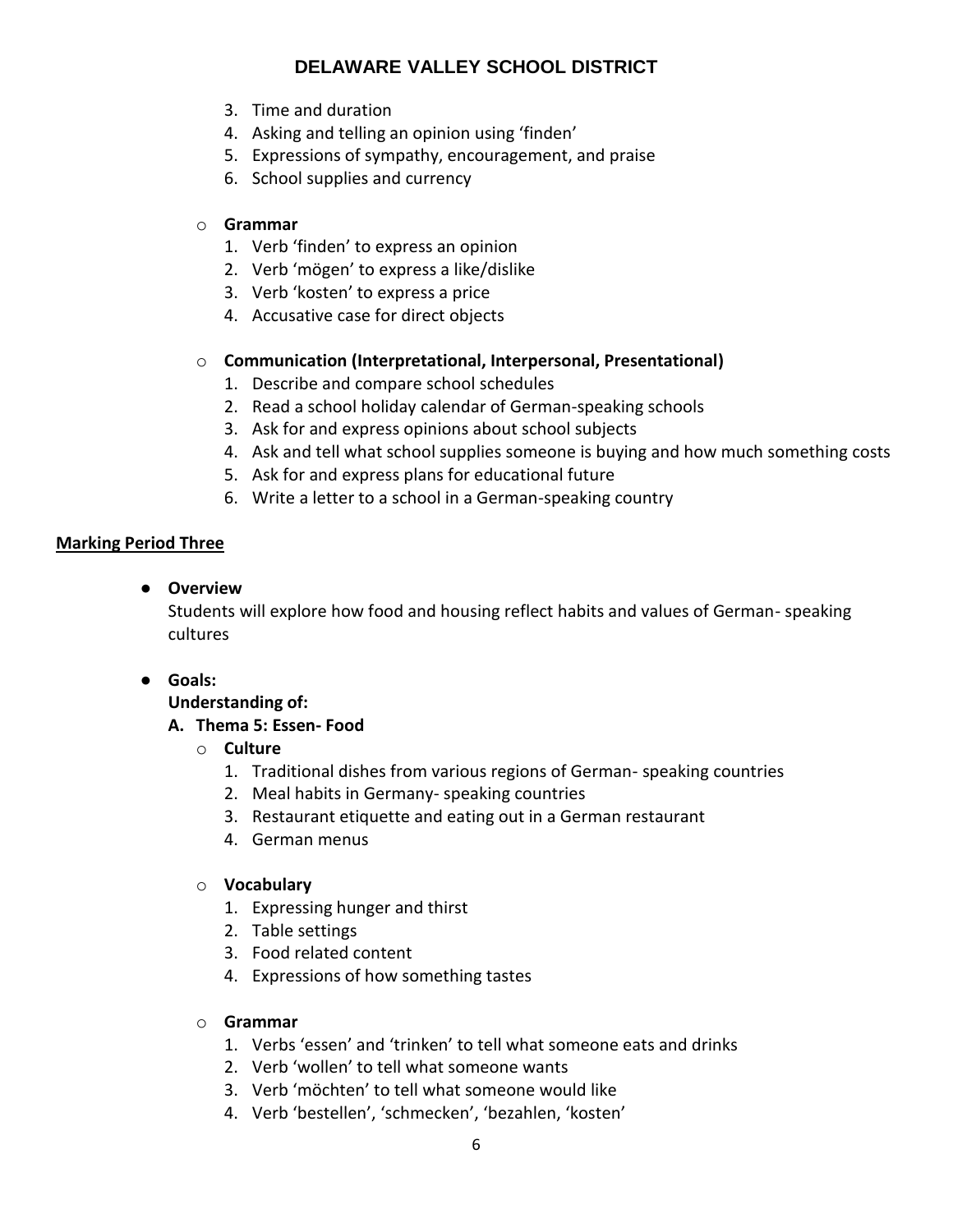- 3. Time and duration
- 4. Asking and telling an opinion using 'finden'
- 5. Expressions of sympathy, encouragement, and praise
- 6. School supplies and currency

## o **Grammar**

- 1. Verb 'finden' to express an opinion
- 2. Verb 'mögen' to express a like/dislike
- 3. Verb 'kosten' to express a price
- 4. Accusative case for direct objects

## o **Communication (Interpretational, Interpersonal, Presentational)**

- 1. Describe and compare school schedules
- 2. Read a school holiday calendar of German-speaking schools
- 3. Ask for and express opinions about school subjects
- 4. Ask and tell what school supplies someone is buying and how much something costs
- 5. Ask for and express plans for educational future
- 6. Write a letter to a school in a German-speaking country

## **Marking Period Three**

● **Overview**

Students will explore how food and housing reflect habits and values of German- speaking cultures

● **Goals:**

## **Understanding of:**

## **A. Thema 5: Essen- Food**

## o **Culture**

- 1. Traditional dishes from various regions of German- speaking countries
- 2. Meal habits in Germany- speaking countries
- 3. Restaurant etiquette and eating out in a German restaurant
- 4. German menus

## o **Vocabulary**

- 1. Expressing hunger and thirst
- 2. Table settings
- 3. Food related content
- 4. Expressions of how something tastes

## o **Grammar**

- 1. Verbs 'essen' and 'trinken' to tell what someone eats and drinks
- 2. Verb 'wollen' to tell what someone wants
- 3. Verb 'möchten' to tell what someone would like
- 4. Verb 'bestellen', 'schmecken', 'bezahlen, 'kosten'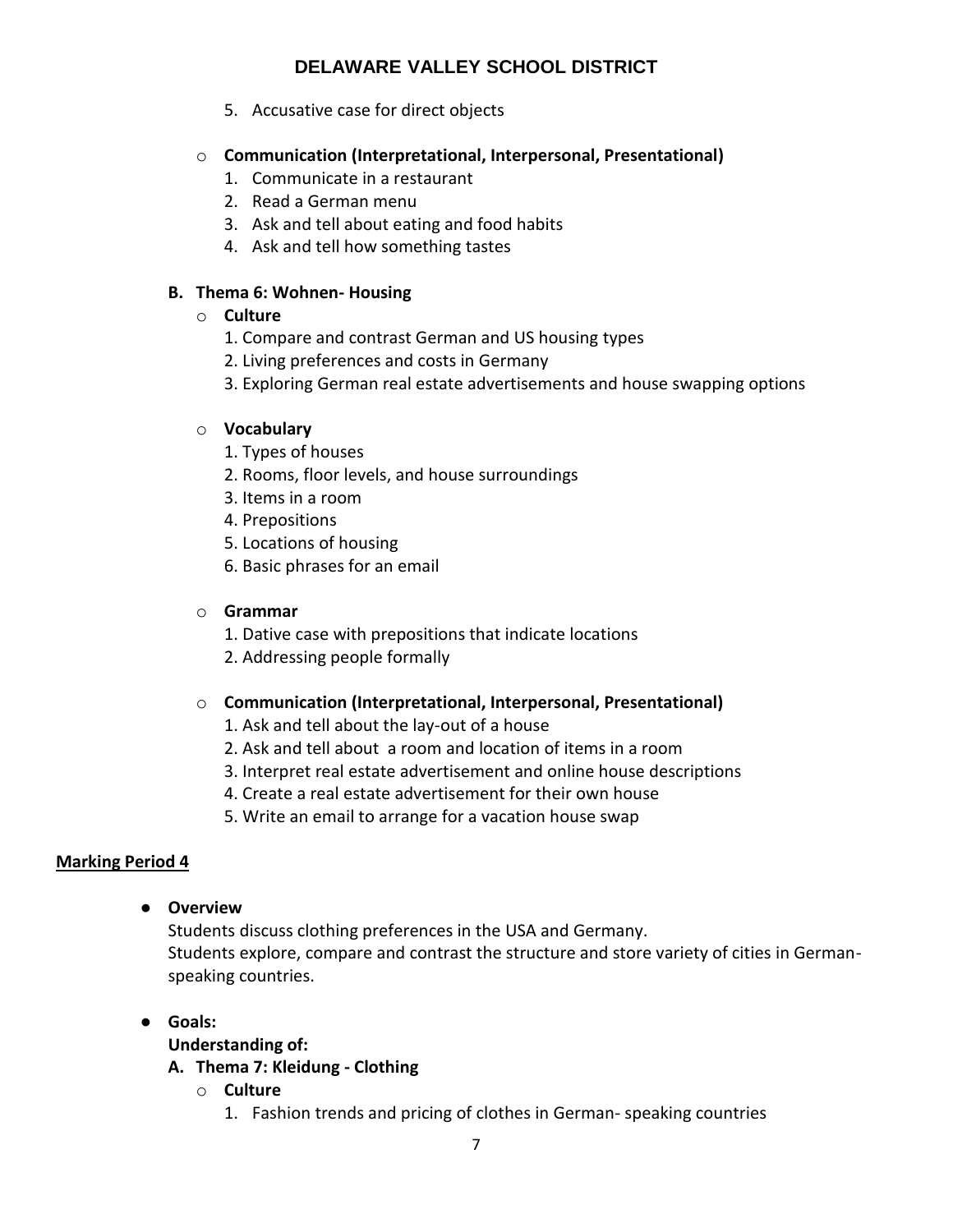5. Accusative case for direct objects

## o **Communication (Interpretational, Interpersonal, Presentational)**

- 1. Communicate in a restaurant
- 2. Read a German menu
- 3. Ask and tell about eating and food habits
- 4. Ask and tell how something tastes

## **B. Thema 6: Wohnen- Housing**

## o **Culture**

- 1. Compare and contrast German and US housing types
- 2. Living preferences and costs in Germany
- 3. Exploring German real estate advertisements and house swapping options

## o **Vocabulary**

- 1. Types of houses
- 2. Rooms, floor levels, and house surroundings
- 3. Items in a room
- 4. Prepositions
- 5. Locations of housing
- 6. Basic phrases for an email

## o **Grammar**

- 1. Dative case with prepositions that indicate locations
- 2. Addressing people formally

## o **Communication (Interpretational, Interpersonal, Presentational)**

- 1. Ask and tell about the lay-out of a house
- 2. Ask and tell about a room and location of items in a room
- 3. Interpret real estate advertisement and online house descriptions
- 4. Create a real estate advertisement for their own house
- 5. Write an email to arrange for a vacation house swap

## **Marking Period 4**

● **Overview** 

Students discuss clothing preferences in the USA and Germany. Students explore, compare and contrast the structure and store variety of cities in Germanspeaking countries.

- **Goals:**
	- **Understanding of:**

## **A. Thema 7: Kleidung - Clothing**

- o **Culture**
	- 1. Fashion trends and pricing of clothes in German- speaking countries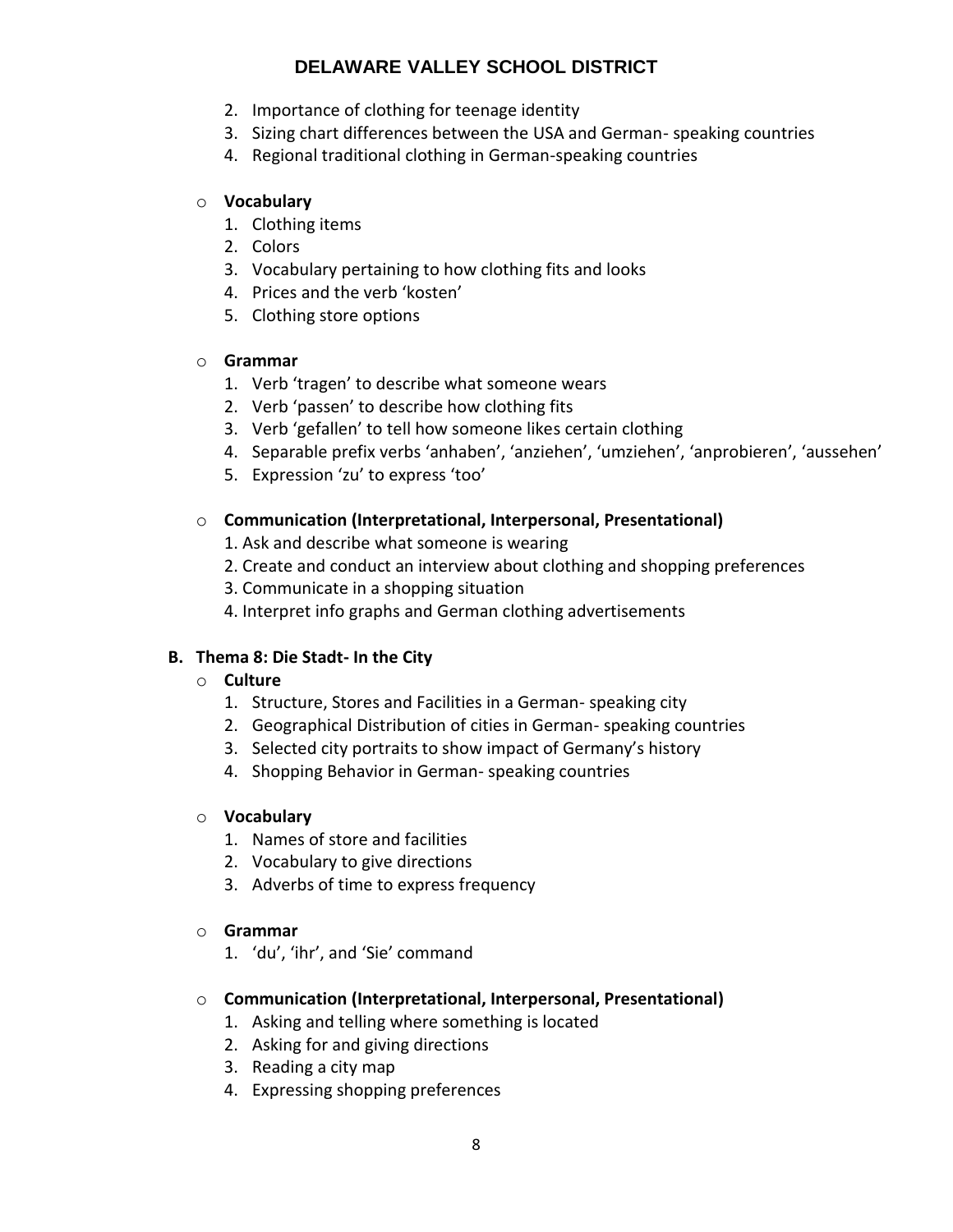- 2. Importance of clothing for teenage identity
- 3. Sizing chart differences between the USA and German- speaking countries
- 4. Regional traditional clothing in German-speaking countries

## o **Vocabulary**

- 1. Clothing items
- 2. Colors
- 3. Vocabulary pertaining to how clothing fits and looks
- 4. Prices and the verb 'kosten'
- 5. Clothing store options

## o **Grammar**

- 1. Verb 'tragen' to describe what someone wears
- 2. Verb 'passen' to describe how clothing fits
- 3. Verb 'gefallen' to tell how someone likes certain clothing
- 4. Separable prefix verbs 'anhaben', 'anziehen', 'umziehen', 'anprobieren', 'aussehen'
- 5. Expression 'zu' to express 'too'

## o **Communication (Interpretational, Interpersonal, Presentational)**

- 1. Ask and describe what someone is wearing
- 2. Create and conduct an interview about clothing and shopping preferences
- 3. Communicate in a shopping situation
- 4. Interpret info graphs and German clothing advertisements

## **B. Thema 8: Die Stadt- In the City**

## o **Culture**

- 1. Structure, Stores and Facilities in a German- speaking city
- 2. Geographical Distribution of cities in German- speaking countries
- 3. Selected city portraits to show impact of Germany's history
- 4. Shopping Behavior in German- speaking countries

## o **Vocabulary**

- 1. Names of store and facilities
- 2. Vocabulary to give directions
- 3. Adverbs of time to express frequency

## o **Grammar**

1. 'du', 'ihr', and 'Sie' command

## o **Communication (Interpretational, Interpersonal, Presentational)**

- 1. Asking and telling where something is located
- 2. Asking for and giving directions
- 3. Reading a city map
- 4. Expressing shopping preferences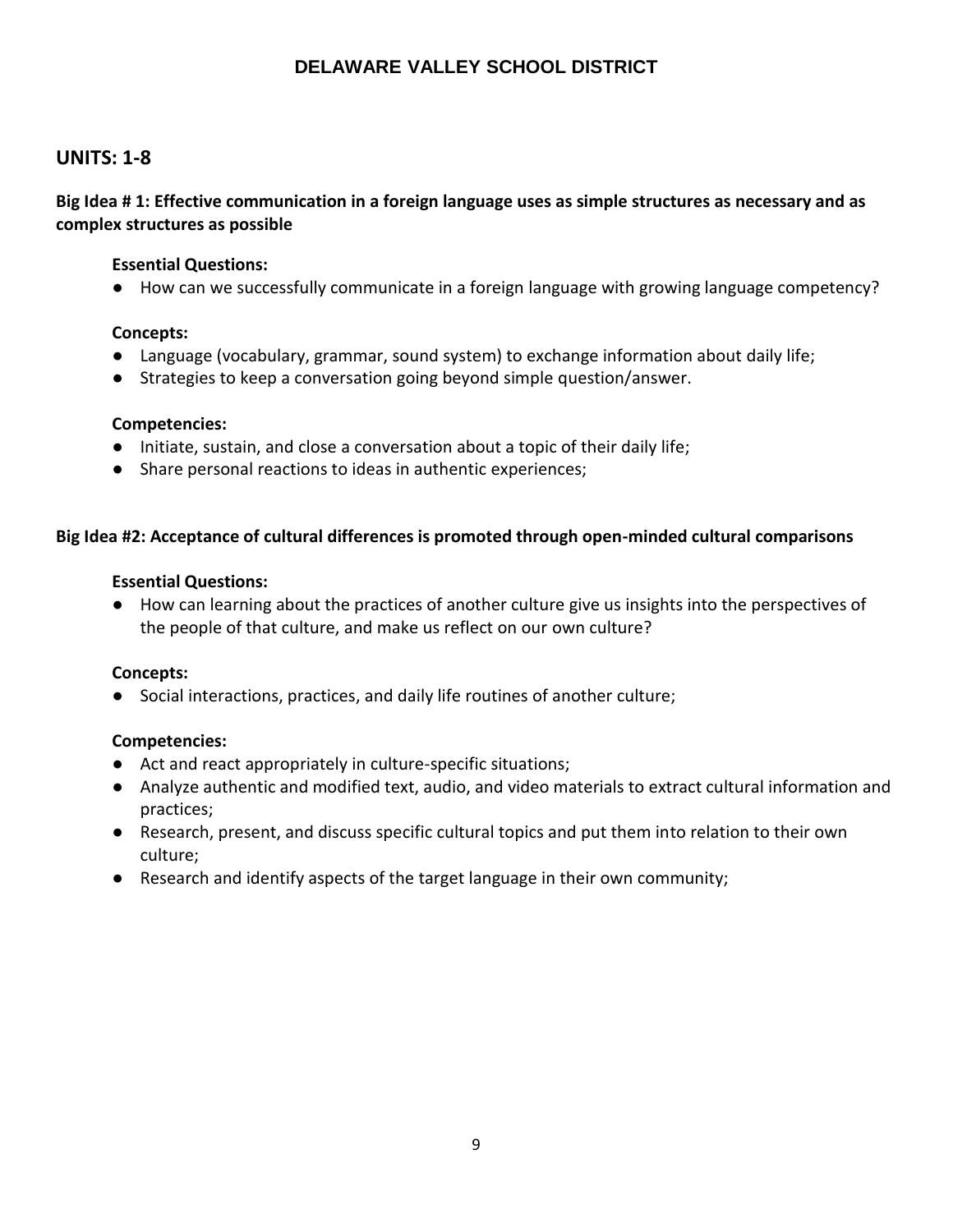## **UNITS: 1-8**

**Big Idea # 1: Effective communication in a foreign language uses as simple structures as necessary and as complex structures as possible**

## **Essential Questions:**

● How can we successfully communicate in a foreign language with growing language competency?

#### **Concepts:**

- Language (vocabulary, grammar, sound system) to exchange information about daily life;
- Strategies to keep a conversation going beyond simple question/answer.

#### **Competencies:**

- Initiate, sustain, and close a conversation about a topic of their daily life;
- Share personal reactions to ideas in authentic experiences;

#### **Big Idea #2: Acceptance of cultural differences is promoted through open-minded cultural comparisons**

#### **Essential Questions:**

● How can learning about the practices of another culture give us insights into the perspectives of the people of that culture, and make us reflect on our own culture?

#### **Concepts:**

● Social interactions, practices, and daily life routines of another culture;

## **Competencies:**

- Act and react appropriately in culture-specific situations;
- Analyze authentic and modified text, audio, and video materials to extract cultural information and practices;
- Research, present, and discuss specific cultural topics and put them into relation to their own culture;
- Research and identify aspects of the target language in their own community;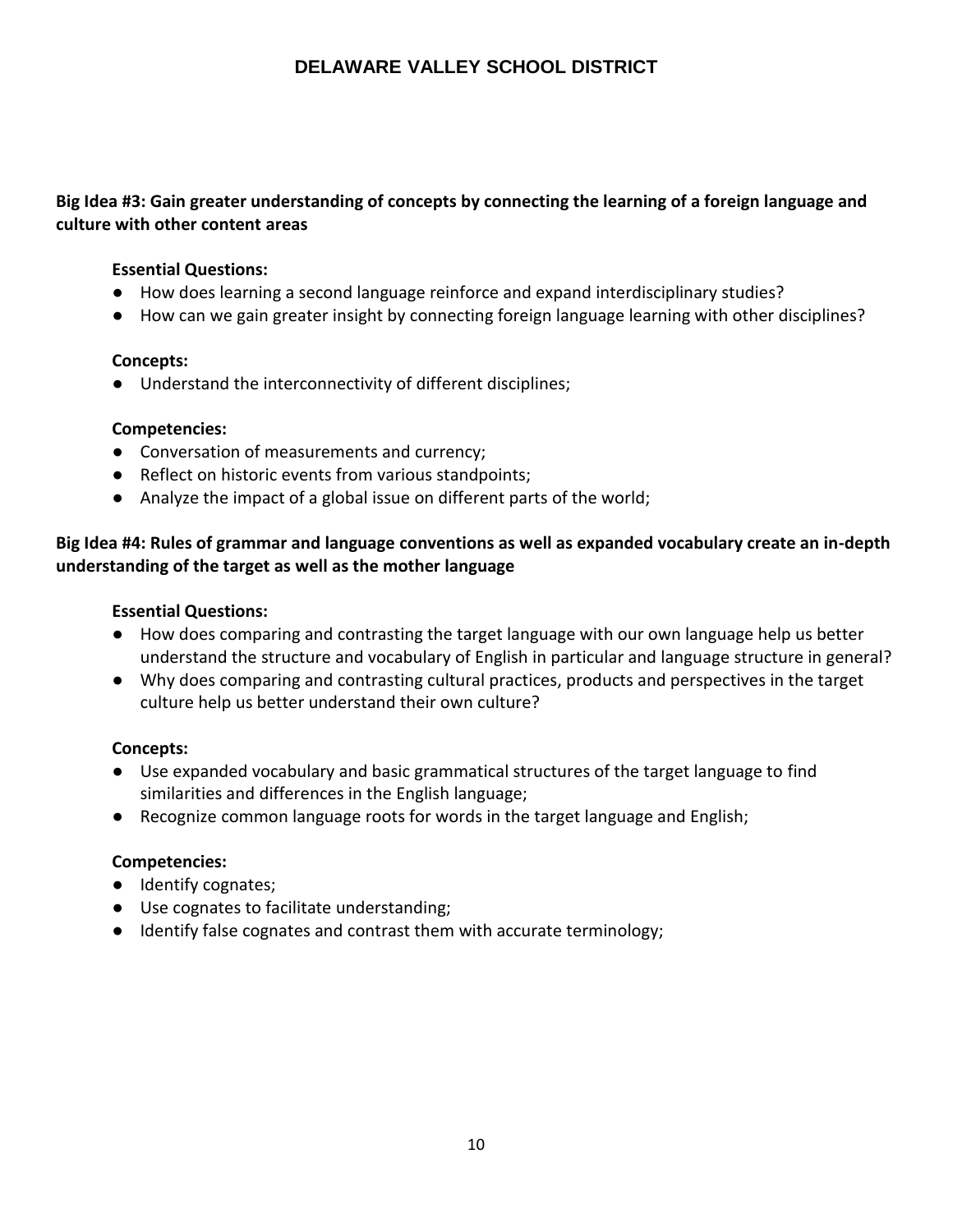## **Big Idea #3: Gain greater understanding of concepts by connecting the learning of a foreign language and culture with other content areas**

## **Essential Questions:**

- How does learning a second language reinforce and expand interdisciplinary studies?
- How can we gain greater insight by connecting foreign language learning with other disciplines?

## **Concepts:**

● Understand the interconnectivity of different disciplines;

## **Competencies:**

- Conversation of measurements and currency;
- Reflect on historic events from various standpoints;
- Analyze the impact of a global issue on different parts of the world;

## **Big Idea #4: Rules of grammar and language conventions as well as expanded vocabulary create an in-depth understanding of the target as well as the mother language**

## **Essential Questions:**

- How does comparing and contrasting the target language with our own language help us better understand the structure and vocabulary of English in particular and language structure in general?
- Why does comparing and contrasting cultural practices, products and perspectives in the target culture help us better understand their own culture?

## **Concepts:**

- Use expanded vocabulary and basic grammatical structures of the target language to find similarities and differences in the English language;
- Recognize common language roots for words in the target language and English;

## **Competencies:**

- Identify cognates;
- Use cognates to facilitate understanding;
- Identify false cognates and contrast them with accurate terminology;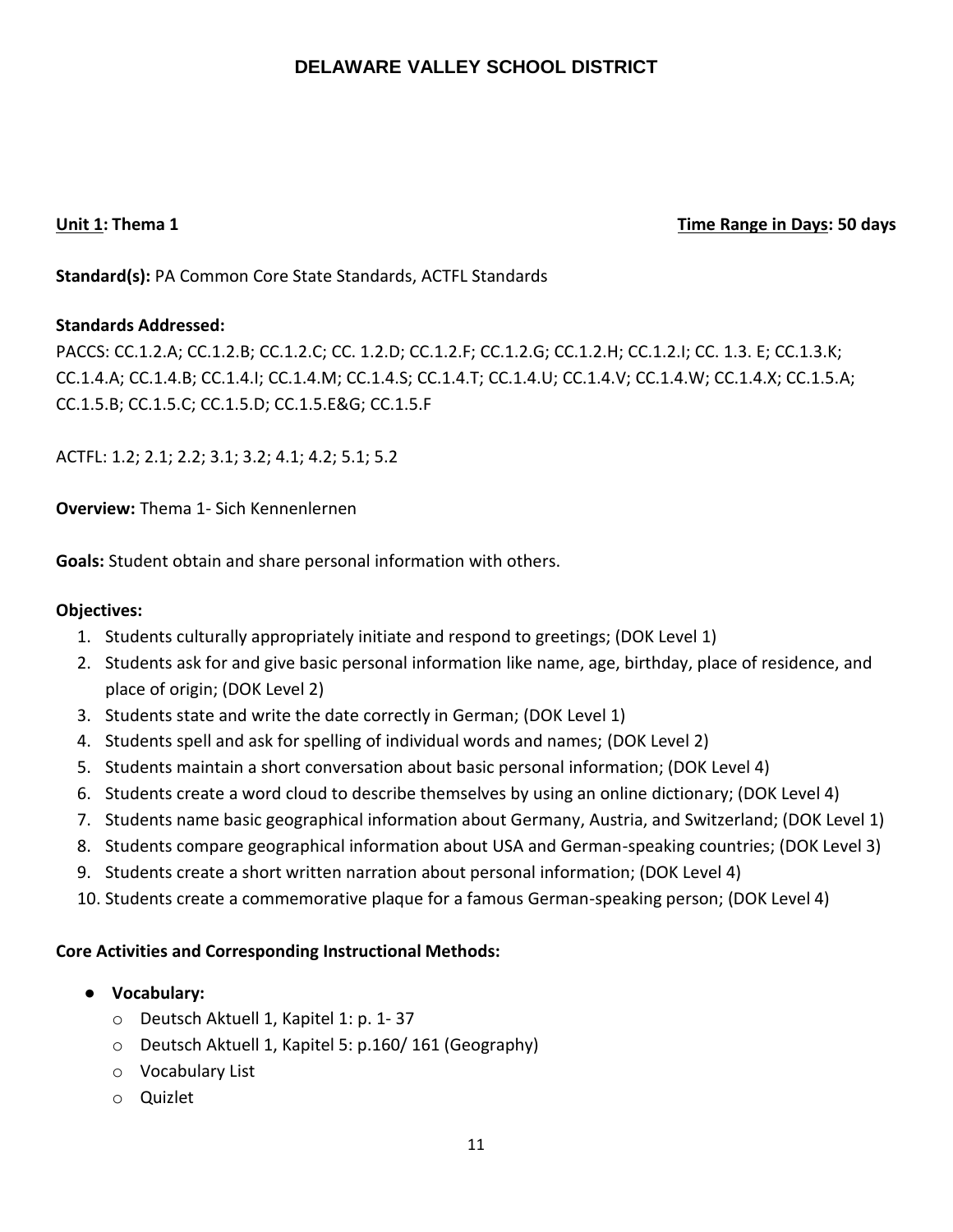## **Unit 1: Thema 1 Time Range in Days: 50 days**

**Standard(s):** PA Common Core State Standards, ACTFL Standards

## **Standards Addressed:**

PACCS: CC.1.2.A; CC.1.2.B; CC.1.2.C; CC. 1.2.D; CC.1.2.F; CC.1.2.G; CC.1.2.H; CC.1.2.I; CC. 1.3. E; CC.1.3.K; CC.1.4.A; CC.1.4.B; CC.1.4.I; CC.1.4.M; CC.1.4.S; CC.1.4.T; CC.1.4.U; CC.1.4.V; CC.1.4.W; CC.1.4.X; CC.1.5.A; CC.1.5.B; CC.1.5.C; CC.1.5.D; CC.1.5.E&G; CC.1.5.F

ACTFL: 1.2; 2.1; 2.2; 3.1; 3.2; 4.1; 4.2; 5.1; 5.2

**Overview:** Thema 1- Sich Kennenlernen

**Goals:** Student obtain and share personal information with others.

## **Objectives:**

- 1. Students culturally appropriately initiate and respond to greetings; (DOK Level 1)
- 2. Students ask for and give basic personal information like name, age, birthday, place of residence, and place of origin; (DOK Level 2)
- 3. Students state and write the date correctly in German; (DOK Level 1)
- 4. Students spell and ask for spelling of individual words and names; (DOK Level 2)
- 5. Students maintain a short conversation about basic personal information; (DOK Level 4)
- 6. Students create a word cloud to describe themselves by using an online dictionary; (DOK Level 4)
- 7. Students name basic geographical information about Germany, Austria, and Switzerland; (DOK Level 1)
- 8. Students compare geographical information about USA and German-speaking countries; (DOK Level 3)
- 9. Students create a short written narration about personal information; (DOK Level 4)
- 10. Students create a commemorative plaque for a famous German-speaking person; (DOK Level 4)

- **Vocabulary:**
	- o Deutsch Aktuell 1, Kapitel 1: p. 1- 37
	- o Deutsch Aktuell 1, Kapitel 5: p.160/ 161 (Geography)
	- o Vocabulary List
	- o Quizlet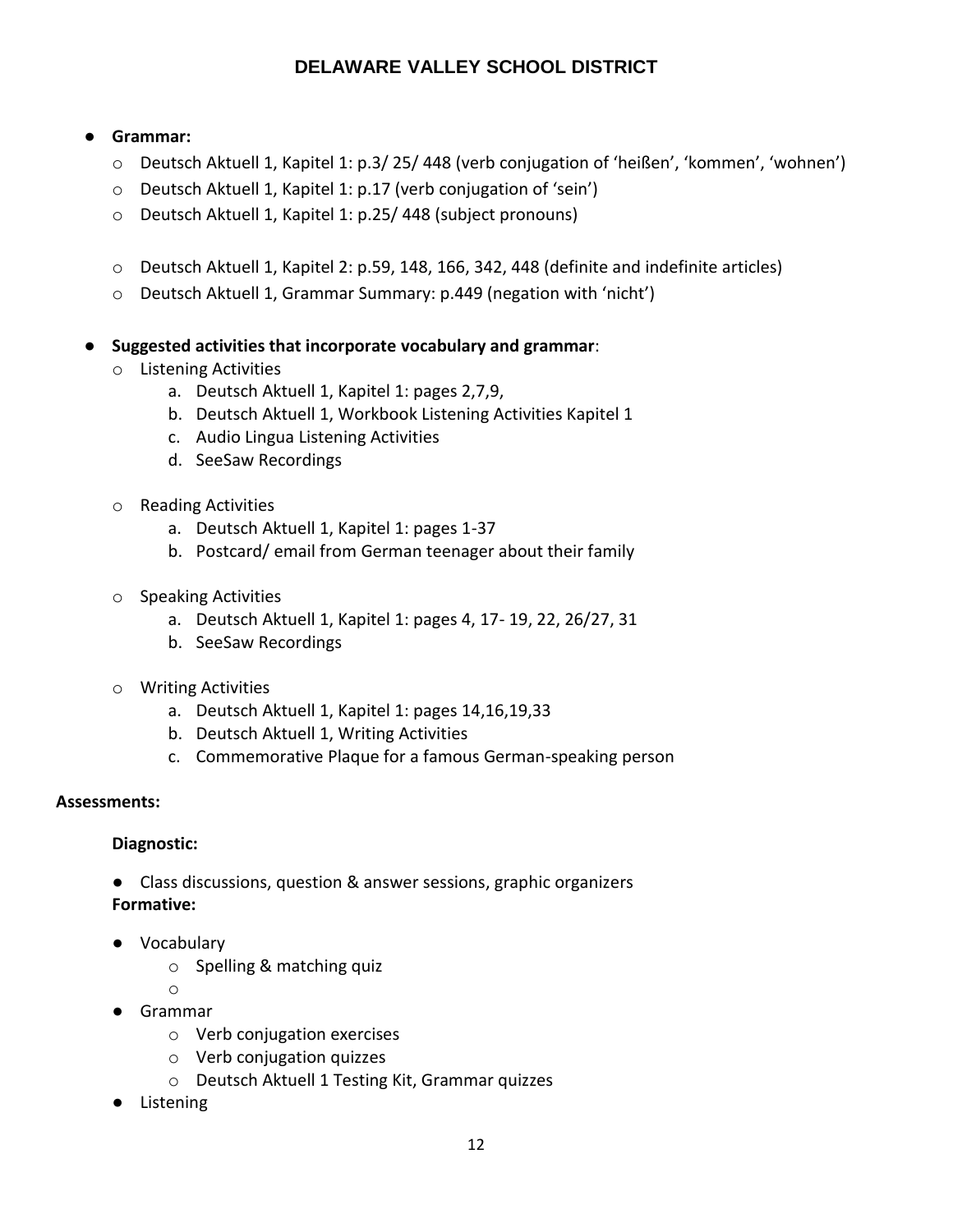## ● **Grammar:**

- o Deutsch Aktuell 1, Kapitel 1: p.3/ 25/ 448 (verb conjugation of 'heißen', 'kommen', 'wohnen')
- o Deutsch Aktuell 1, Kapitel 1: p.17 (verb conjugation of 'sein')
- o Deutsch Aktuell 1, Kapitel 1: p.25/ 448 (subject pronouns)
- o Deutsch Aktuell 1, Kapitel 2: p.59, 148, 166, 342, 448 (definite and indefinite articles)
- o Deutsch Aktuell 1, Grammar Summary: p.449 (negation with 'nicht')
- **Suggested activities that incorporate vocabulary and grammar**:
	- o Listening Activities
		- a. Deutsch Aktuell 1, Kapitel 1: pages 2,7,9,
		- b. Deutsch Aktuell 1, Workbook Listening Activities Kapitel 1
		- c. Audio Lingua Listening Activities
		- d. SeeSaw Recordings
	- o Reading Activities
		- a. Deutsch Aktuell 1, Kapitel 1: pages 1-37
		- b. Postcard/ email from German teenager about their family
	- o Speaking Activities
		- a. Deutsch Aktuell 1, Kapitel 1: pages 4, 17- 19, 22, 26/27, 31
		- b. SeeSaw Recordings
	- o Writing Activities
		- a. Deutsch Aktuell 1, Kapitel 1: pages 14,16,19,33
		- b. Deutsch Aktuell 1, Writing Activities
		- c. Commemorative Plaque for a famous German-speaking person

## **Assessments:**

## **Diagnostic:**

- Class discussions, question & answer sessions, graphic organizers **Formative:**
- Vocabulary
	- o Spelling & matching quiz
	- o
- Grammar
	- o Verb conjugation exercises
	- o Verb conjugation quizzes
	- o Deutsch Aktuell 1 Testing Kit, Grammar quizzes
- Listening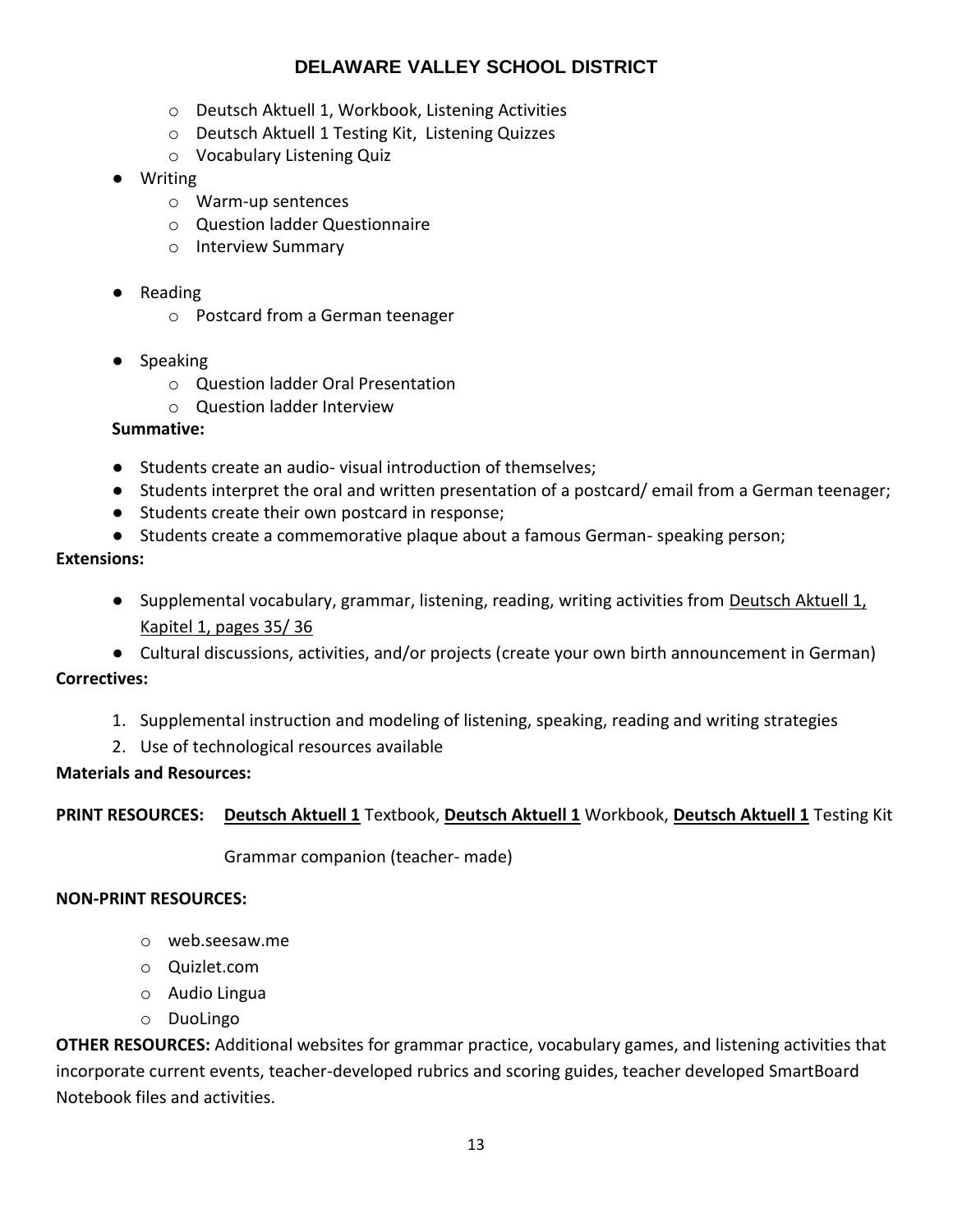- o Deutsch Aktuell 1, Workbook, Listening Activities
- o Deutsch Aktuell 1 Testing Kit, Listening Quizzes
- o Vocabulary Listening Quiz
- Writing
	- o Warm-up sentences
	- o Question ladder Questionnaire
	- o Interview Summary
- Reading
	- o Postcard from a German teenager
- Speaking
	- o Question ladder Oral Presentation
	- o Question ladder Interview

## **Summative:**

- Students create an audio- visual introduction of themselves;
- Students interpret the oral and written presentation of a postcard/ email from a German teenager;
- Students create their own postcard in response;
- Students create a commemorative plaque about a famous German- speaking person;

## **Extensions:**

- Supplemental vocabulary, grammar, listening, reading, writing activities from Deutsch Aktuell 1, Kapitel 1, pages 35/ 36
- Cultural discussions, activities, and/or projects (create your own birth announcement in German)

## **Correctives:**

- 1. Supplemental instruction and modeling of listening, speaking, reading and writing strategies
- 2. Use of technological resources available

## **Materials and Resources:**

## **PRINT RESOURCES: Deutsch Aktuell 1** Textbook, **Deutsch Aktuell 1** Workbook, **Deutsch Aktuell 1** Testing Kit

Grammar companion (teacher- made)

## **NON-PRINT RESOURCES:**

- o web.seesaw.me
- o Quizlet.com
- o Audio Lingua
- o DuoLingo

**OTHER RESOURCES:** Additional websites for grammar practice, vocabulary games, and listening activities that incorporate current events, teacher-developed rubrics and scoring guides, teacher developed SmartBoard Notebook files and activities.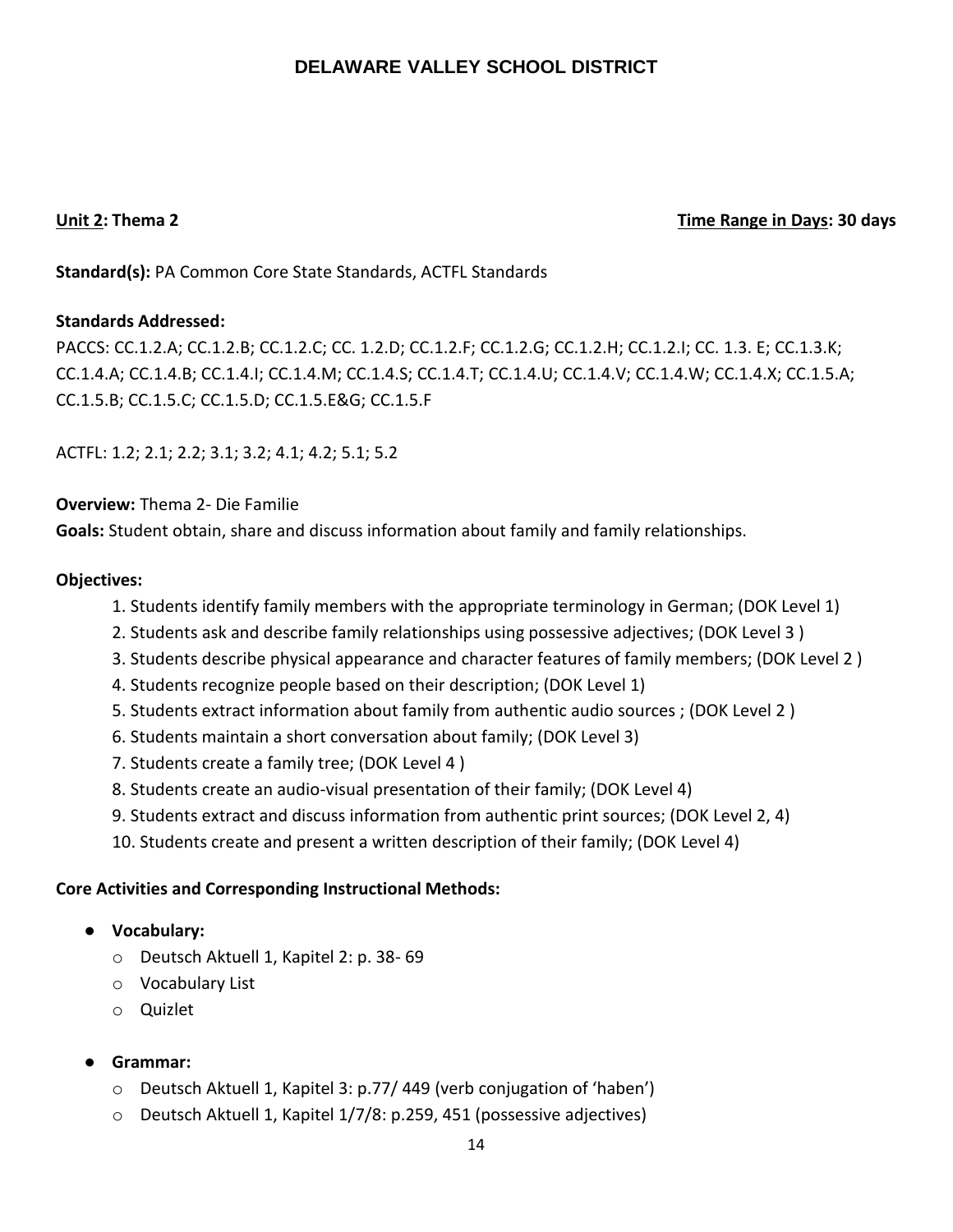## **Unit 2: Thema 2 Time Range in Days: 30 days**

**Standard(s):** PA Common Core State Standards, ACTFL Standards

## **Standards Addressed:**

PACCS: CC.1.2.A; CC.1.2.B; CC.1.2.C; CC. 1.2.D; CC.1.2.F; CC.1.2.G; CC.1.2.H; CC.1.2.I; CC. 1.3. E; CC.1.3.K; CC.1.4.A; CC.1.4.B; CC.1.4.I; CC.1.4.M; CC.1.4.S; CC.1.4.T; CC.1.4.U; CC.1.4.V; CC.1.4.W; CC.1.4.X; CC.1.5.A; CC.1.5.B; CC.1.5.C; CC.1.5.D; CC.1.5.E&G; CC.1.5.F

ACTFL: 1.2; 2.1; 2.2; 3.1; 3.2; 4.1; 4.2; 5.1; 5.2

## **Overview:** Thema 2- Die Familie

**Goals:** Student obtain, share and discuss information about family and family relationships.

## **Objectives:**

- 1. Students identify family members with the appropriate terminology in German; (DOK Level 1)
- 2. Students ask and describe family relationships using possessive adjectives; (DOK Level 3 )
- 3. Students describe physical appearance and character features of family members; (DOK Level 2 )
- 4. Students recognize people based on their description; (DOK Level 1)
- 5. Students extract information about family from authentic audio sources ; (DOK Level 2 )
- 6. Students maintain a short conversation about family; (DOK Level 3)
- 7. Students create a family tree; (DOK Level 4 )
- 8. Students create an audio-visual presentation of their family; (DOK Level 4)
- 9. Students extract and discuss information from authentic print sources; (DOK Level 2, 4)
- 10. Students create and present a written description of their family; (DOK Level 4)

- **Vocabulary:**
	- o Deutsch Aktuell 1, Kapitel 2: p. 38- 69
	- o Vocabulary List
	- o Quizlet
- **Grammar:**
	- o Deutsch Aktuell 1, Kapitel 3: p.77/ 449 (verb conjugation of 'haben')
	- o Deutsch Aktuell 1, Kapitel 1/7/8: p.259, 451 (possessive adjectives)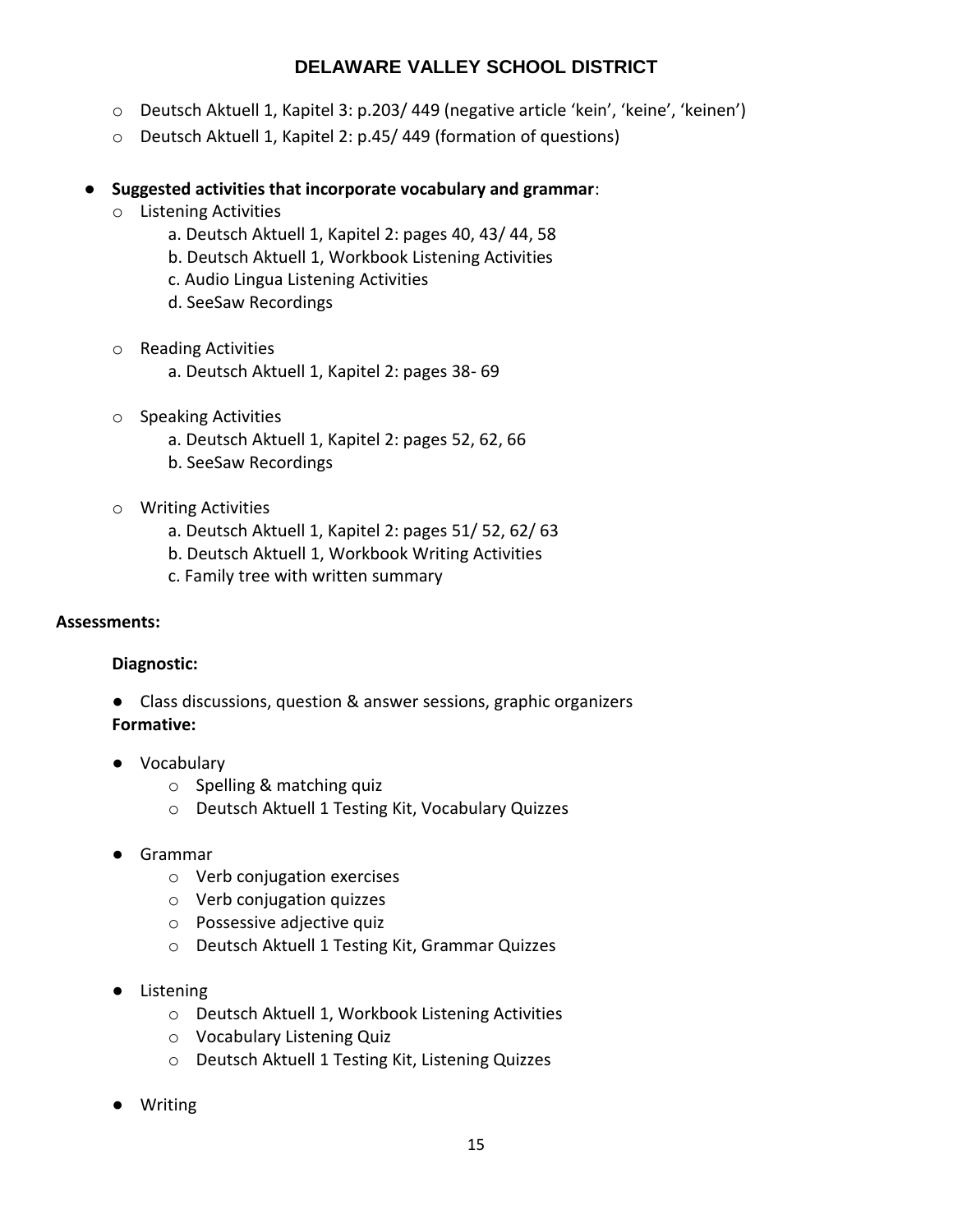- o Deutsch Aktuell 1, Kapitel 3: p.203/ 449 (negative article 'kein', 'keine', 'keinen')
- o Deutsch Aktuell 1, Kapitel 2: p.45/ 449 (formation of questions)

## ● **Suggested activities that incorporate vocabulary and grammar**:

- o Listening Activities
	- a. Deutsch Aktuell 1, Kapitel 2: pages 40, 43/ 44, 58
	- b. Deutsch Aktuell 1, Workbook Listening Activities
	- c. Audio Lingua Listening Activities
	- d. SeeSaw Recordings
- o Reading Activities
	- a. Deutsch Aktuell 1, Kapitel 2: pages 38- 69
- o Speaking Activities
	- a. Deutsch Aktuell 1, Kapitel 2: pages 52, 62, 66
	- b. SeeSaw Recordings
- o Writing Activities
	- a. Deutsch Aktuell 1, Kapitel 2: pages 51/ 52, 62/ 63
	- b. Deutsch Aktuell 1, Workbook Writing Activities
	- c. Family tree with written summary

#### **Assessments:**

## **Diagnostic:**

- Class discussions, question & answer sessions, graphic organizers **Formative:**
- Vocabulary
	- o Spelling & matching quiz
	- o Deutsch Aktuell 1 Testing Kit, Vocabulary Quizzes
- Grammar
	- o Verb conjugation exercises
	- o Verb conjugation quizzes
	- o Possessive adjective quiz
	- o Deutsch Aktuell 1 Testing Kit, Grammar Quizzes
- Listening
	- o Deutsch Aktuell 1, Workbook Listening Activities
	- o Vocabulary Listening Quiz
	- o Deutsch Aktuell 1 Testing Kit, Listening Quizzes
- **Writing**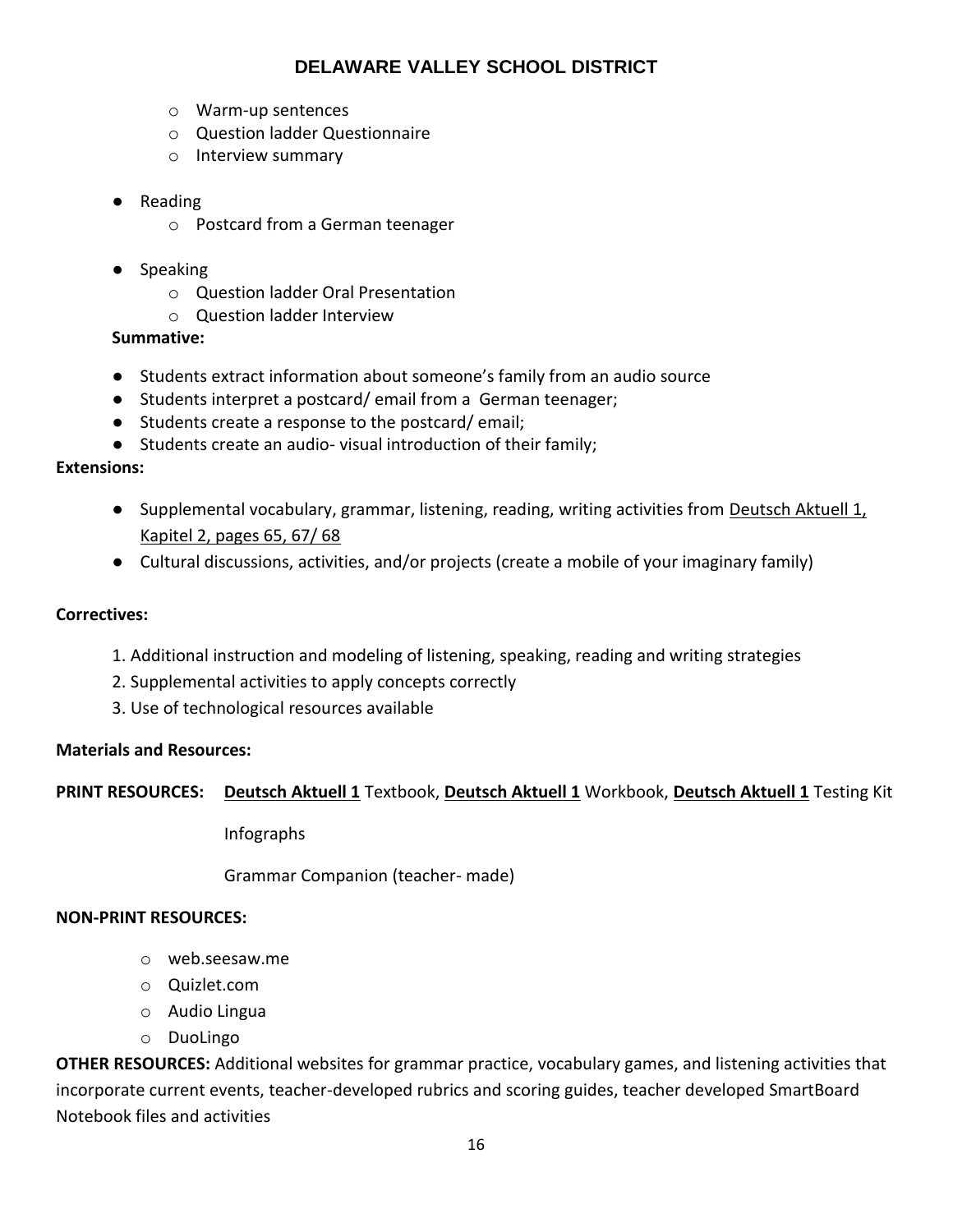- o Warm-up sentences
- o Question ladder Questionnaire
- o Interview summary
- Reading
	- o Postcard from a German teenager
- Speaking
	- o Question ladder Oral Presentation
	- o Question ladder Interview

## **Summative:**

- Students extract information about someone's family from an audio source
- Students interpret a postcard/ email from a German teenager;
- Students create a response to the postcard/ email;
- Students create an audio- visual introduction of their family;

## **Extensions:**

- Supplemental vocabulary, grammar, listening, reading, writing activities from Deutsch Aktuell 1, Kapitel 2, pages 65, 67/ 68
- Cultural discussions, activities, and/or projects (create a mobile of your imaginary family)

## **Correctives:**

- 1. Additional instruction and modeling of listening, speaking, reading and writing strategies
- 2. Supplemental activities to apply concepts correctly
- 3. Use of technological resources available

## **Materials and Resources:**

## **PRINT RESOURCES: Deutsch Aktuell 1** Textbook, **Deutsch Aktuell 1** Workbook, **Deutsch Aktuell 1** Testing Kit

Infographs

Grammar Companion (teacher- made)

## **NON-PRINT RESOURCES:**

- o web.seesaw.me
- o Quizlet.com
- o Audio Lingua
- o DuoLingo

**OTHER RESOURCES:** Additional websites for grammar practice, vocabulary games, and listening activities that incorporate current events, teacher-developed rubrics and scoring guides, teacher developed SmartBoard Notebook files and activities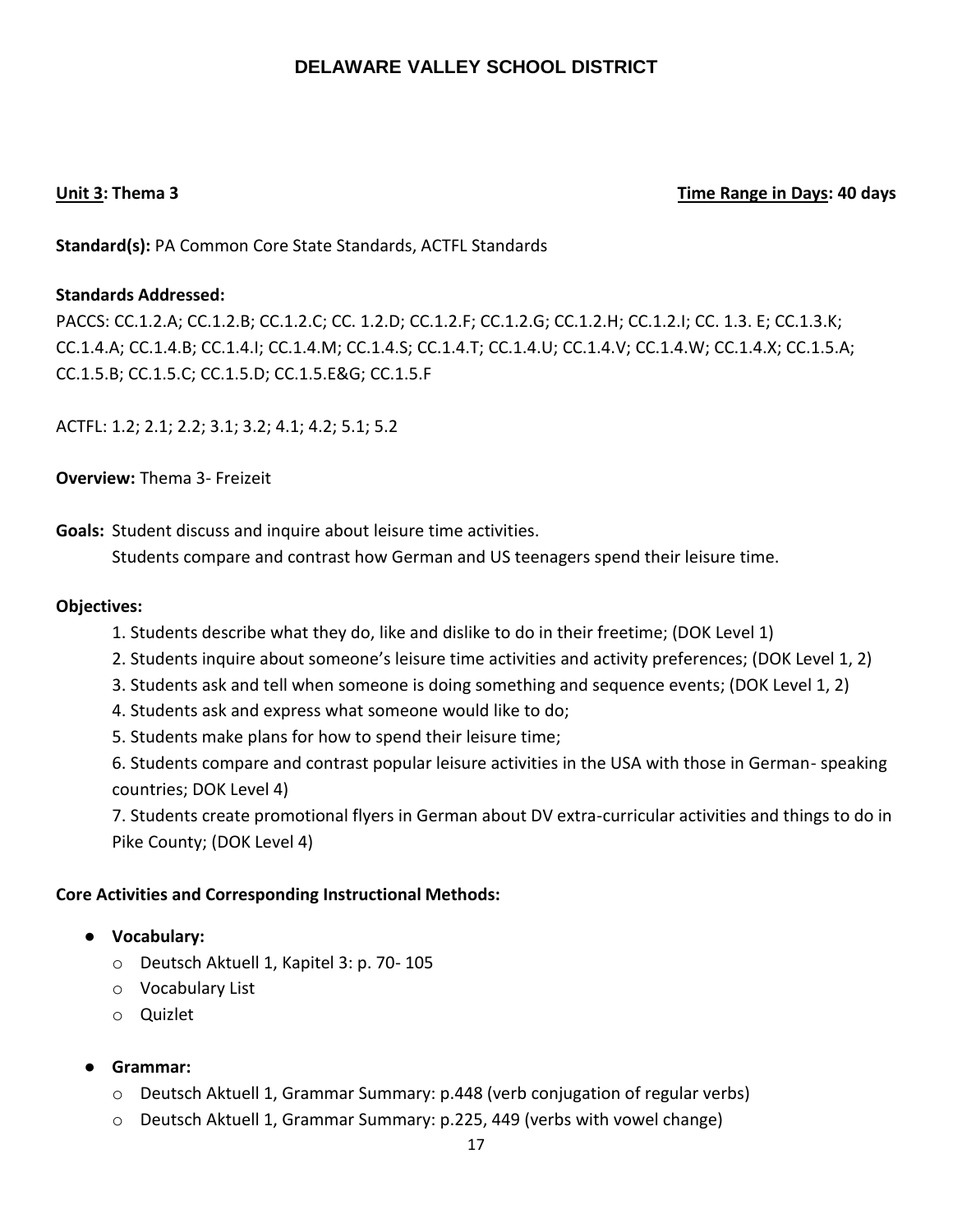## **Unit 3: Thema 3 Time Range in Days: 40 days**

**Standard(s):** PA Common Core State Standards, ACTFL Standards

## **Standards Addressed:**

PACCS: CC.1.2.A; CC.1.2.B; CC.1.2.C; CC. 1.2.D; CC.1.2.F; CC.1.2.G; CC.1.2.H; CC.1.2.I; CC. 1.3. E; CC.1.3.K; CC.1.4.A; CC.1.4.B; CC.1.4.I; CC.1.4.M; CC.1.4.S; CC.1.4.T; CC.1.4.U; CC.1.4.V; CC.1.4.W; CC.1.4.X; CC.1.5.A; CC.1.5.B; CC.1.5.C; CC.1.5.D; CC.1.5.E&G; CC.1.5.F

ACTFL: 1.2; 2.1; 2.2; 3.1; 3.2; 4.1; 4.2; 5.1; 5.2

**Overview:** Thema 3- Freizeit

**Goals:** Student discuss and inquire about leisure time activities.

Students compare and contrast how German and US teenagers spend their leisure time.

## **Objectives:**

- 1. Students describe what they do, like and dislike to do in their freetime; (DOK Level 1)
- 2. Students inquire about someone's leisure time activities and activity preferences; (DOK Level 1, 2)
- 3. Students ask and tell when someone is doing something and sequence events; (DOK Level 1, 2)
- 4. Students ask and express what someone would like to do;
- 5. Students make plans for how to spend their leisure time;

6. Students compare and contrast popular leisure activities in the USA with those in German- speaking countries; DOK Level 4)

7. Students create promotional flyers in German about DV extra-curricular activities and things to do in Pike County; (DOK Level 4)

- **Vocabulary:**
	- o Deutsch Aktuell 1, Kapitel 3: p. 70- 105
	- o Vocabulary List
	- o Quizlet
- **Grammar:**
	- o Deutsch Aktuell 1, Grammar Summary: p.448 (verb conjugation of regular verbs)
	- o Deutsch Aktuell 1, Grammar Summary: p.225, 449 (verbs with vowel change)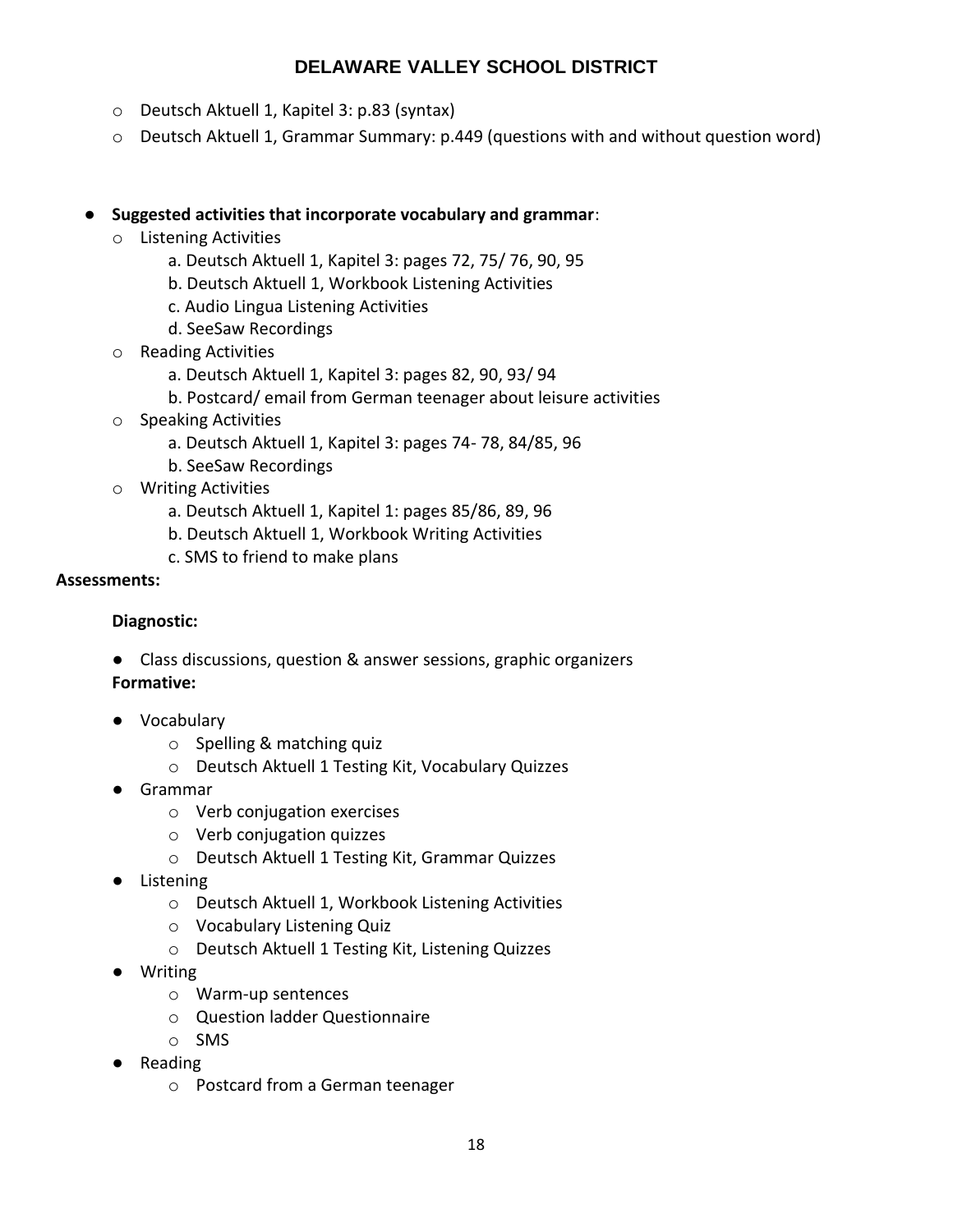- o Deutsch Aktuell 1, Kapitel 3: p.83 (syntax)
- o Deutsch Aktuell 1, Grammar Summary: p.449 (questions with and without question word)

## ● **Suggested activities that incorporate vocabulary and grammar**:

- o Listening Activities
	- a. Deutsch Aktuell 1, Kapitel 3: pages 72, 75/ 76, 90, 95
	- b. Deutsch Aktuell 1, Workbook Listening Activities
	- c. Audio Lingua Listening Activities
	- d. SeeSaw Recordings
- o Reading Activities
	- a. Deutsch Aktuell 1, Kapitel 3: pages 82, 90, 93/ 94
	- b. Postcard/ email from German teenager about leisure activities
- o Speaking Activities
	- a. Deutsch Aktuell 1, Kapitel 3: pages 74- 78, 84/85, 96
	- b. SeeSaw Recordings
- o Writing Activities
	- a. Deutsch Aktuell 1, Kapitel 1: pages 85/86, 89, 96
	- b. Deutsch Aktuell 1, Workbook Writing Activities
	- c. SMS to friend to make plans

## **Assessments:**

## **Diagnostic:**

● Class discussions, question & answer sessions, graphic organizers

## **Formative:**

- Vocabulary
	- o Spelling & matching quiz
	- o Deutsch Aktuell 1 Testing Kit, Vocabulary Quizzes
- Grammar
	- o Verb conjugation exercises
	- o Verb conjugation quizzes
	- o Deutsch Aktuell 1 Testing Kit, Grammar Quizzes
- Listening
	- o Deutsch Aktuell 1, Workbook Listening Activities
	- o Vocabulary Listening Quiz
	- o Deutsch Aktuell 1 Testing Kit, Listening Quizzes
- Writing
	- o Warm-up sentences
	- o Question ladder Questionnaire
	- o SMS
- Reading
	- o Postcard from a German teenager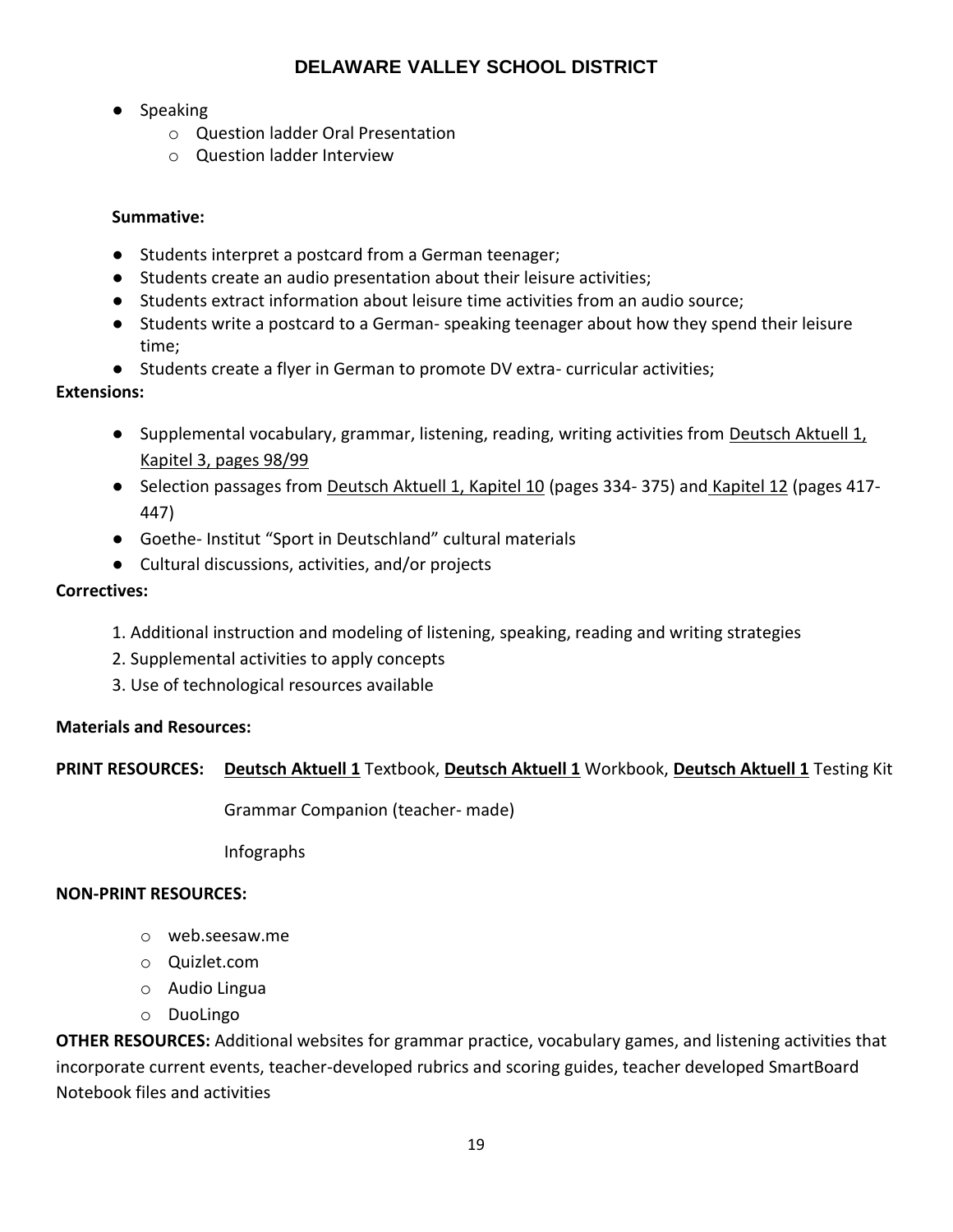- Speaking
	- o Question ladder Oral Presentation
	- o Question ladder Interview

## **Summative:**

- Students interpret a postcard from a German teenager;
- Students create an audio presentation about their leisure activities;
- Students extract information about leisure time activities from an audio source;
- Students write a postcard to a German- speaking teenager about how they spend their leisure time;
- Students create a flyer in German to promote DV extra- curricular activities;

## **Extensions:**

- Supplemental vocabulary, grammar, listening, reading, writing activities from Deutsch Aktuell 1, Kapitel 3, pages 98/99
- Selection passages from Deutsch Aktuell 1, Kapitel 10 (pages 334-375) and Kapitel 12 (pages 417-447)
- Goethe- Institut "Sport in Deutschland" cultural materials
- Cultural discussions, activities, and/or projects

## **Correctives:**

- 1. Additional instruction and modeling of listening, speaking, reading and writing strategies
- 2. Supplemental activities to apply concepts
- 3. Use of technological resources available

## **Materials and Resources:**

## **PRINT RESOURCES: Deutsch Aktuell 1** Textbook, **Deutsch Aktuell 1** Workbook, **Deutsch Aktuell 1** Testing Kit

Grammar Companion (teacher- made)

Infographs

## **NON-PRINT RESOURCES:**

- o web.seesaw.me
- o Quizlet.com
- o Audio Lingua
- o DuoLingo

**OTHER RESOURCES:** Additional websites for grammar practice, vocabulary games, and listening activities that incorporate current events, teacher-developed rubrics and scoring guides, teacher developed SmartBoard Notebook files and activities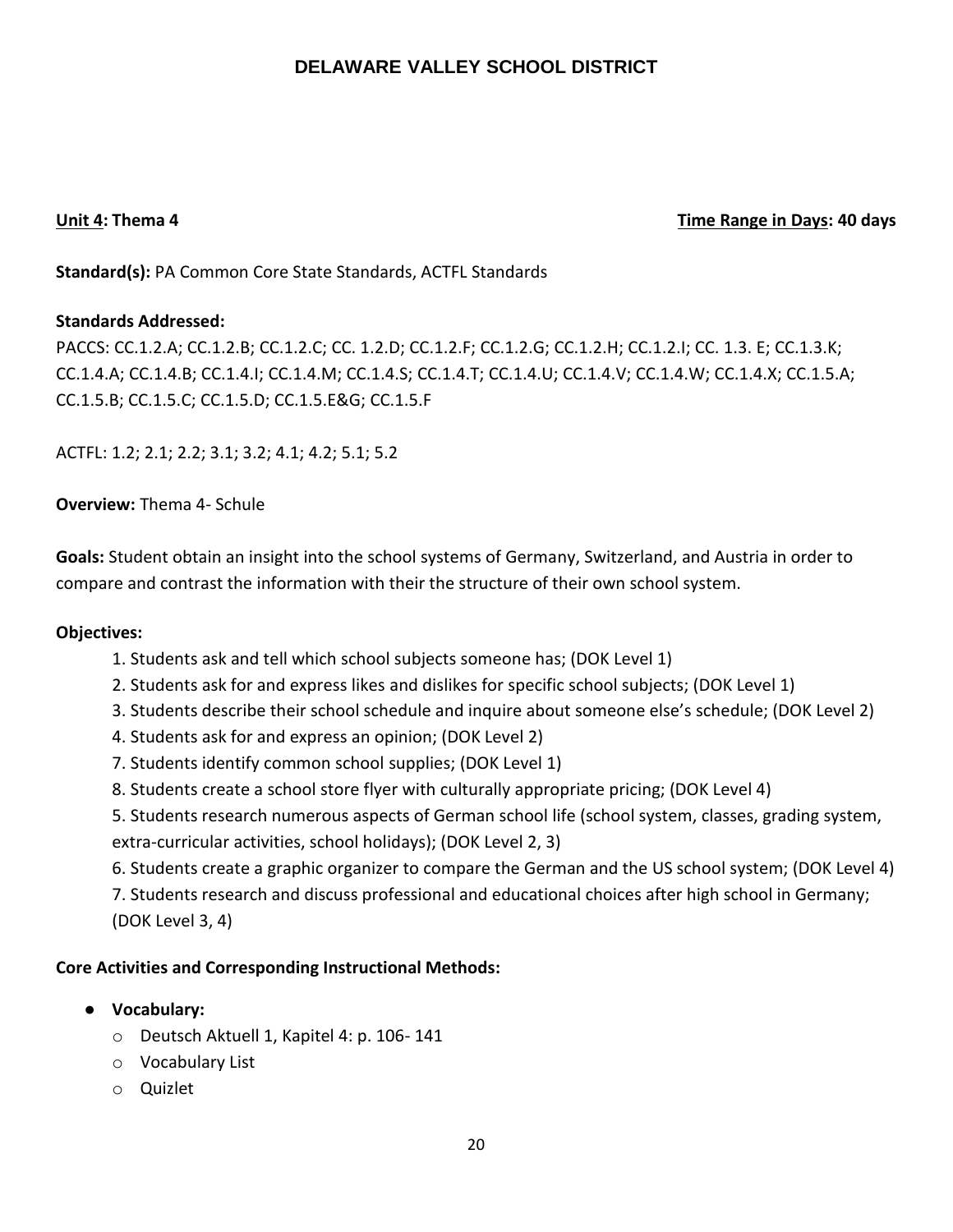## **Unit 4: Thema 4 Time Range in Days: 40 days**

**Standard(s):** PA Common Core State Standards, ACTFL Standards

## **Standards Addressed:**

PACCS: CC.1.2.A; CC.1.2.B; CC.1.2.C; CC. 1.2.D; CC.1.2.F; CC.1.2.G; CC.1.2.H; CC.1.2.I; CC. 1.3. E; CC.1.3.K; CC.1.4.A; CC.1.4.B; CC.1.4.I; CC.1.4.M; CC.1.4.S; CC.1.4.T; CC.1.4.U; CC.1.4.V; CC.1.4.W; CC.1.4.X; CC.1.5.A; CC.1.5.B; CC.1.5.C; CC.1.5.D; CC.1.5.E&G; CC.1.5.F

ACTFL: 1.2; 2.1; 2.2; 3.1; 3.2; 4.1; 4.2; 5.1; 5.2

**Overview:** Thema 4- Schule

**Goals:** Student obtain an insight into the school systems of Germany, Switzerland, and Austria in order to compare and contrast the information with their the structure of their own school system.

## **Objectives:**

- 1. Students ask and tell which school subjects someone has; (DOK Level 1)
- 2. Students ask for and express likes and dislikes for specific school subjects; (DOK Level 1)
- 3. Students describe their school schedule and inquire about someone else's schedule; (DOK Level 2)
- 4. Students ask for and express an opinion; (DOK Level 2)
- 7. Students identify common school supplies; (DOK Level 1)
- 8. Students create a school store flyer with culturally appropriate pricing; (DOK Level 4)

5. Students research numerous aspects of German school life (school system, classes, grading system, extra-curricular activities, school holidays); (DOK Level 2, 3)

6. Students create a graphic organizer to compare the German and the US school system; (DOK Level 4)

7. Students research and discuss professional and educational choices after high school in Germany; (DOK Level 3, 4)

- **Vocabulary:**
	- o Deutsch Aktuell 1, Kapitel 4: p. 106- 141
	- o Vocabulary List
	- o Quizlet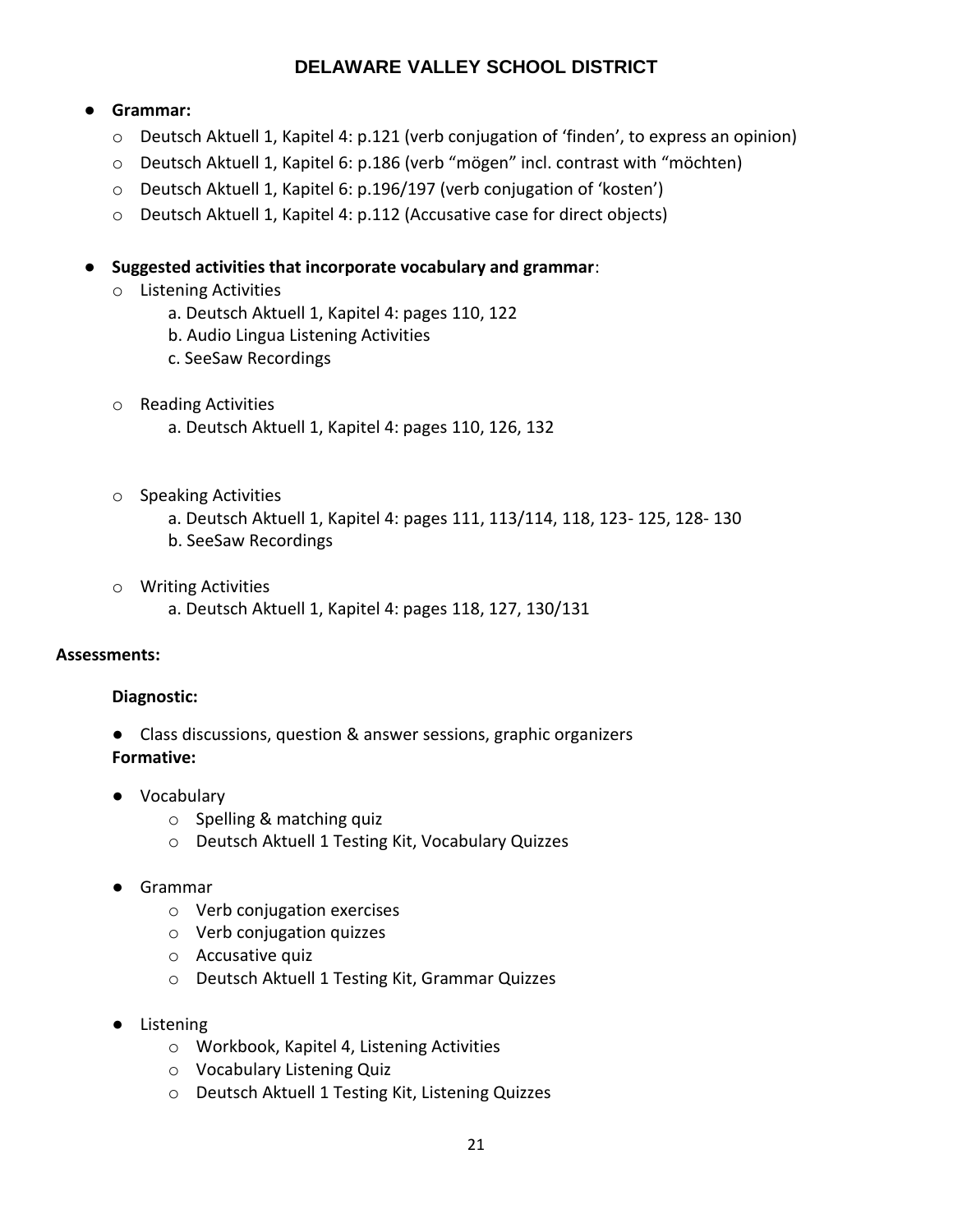## ● **Grammar:**

- o Deutsch Aktuell 1, Kapitel 4: p.121 (verb conjugation of 'finden', to express an opinion)
- o Deutsch Aktuell 1, Kapitel 6: p.186 (verb "mögen" incl. contrast with "möchten)
- o Deutsch Aktuell 1, Kapitel 6: p.196/197 (verb conjugation of 'kosten')
- o Deutsch Aktuell 1, Kapitel 4: p.112 (Accusative case for direct objects)
- **Suggested activities that incorporate vocabulary and grammar**:
	- o Listening Activities
		- a. Deutsch Aktuell 1, Kapitel 4: pages 110, 122
		- b. Audio Lingua Listening Activities
		- c. SeeSaw Recordings
	- o Reading Activities a. Deutsch Aktuell 1, Kapitel 4: pages 110, 126, 132
	- o Speaking Activities
		- a. Deutsch Aktuell 1, Kapitel 4: pages 111, 113/114, 118, 123- 125, 128- 130
		- b. SeeSaw Recordings
	- o Writing Activities
		- a. Deutsch Aktuell 1, Kapitel 4: pages 118, 127, 130/131

## **Assessments:**

## **Diagnostic:**

- Class discussions, question & answer sessions, graphic organizers **Formative:**
- Vocabulary
	- o Spelling & matching quiz
	- o Deutsch Aktuell 1 Testing Kit, Vocabulary Quizzes
- Grammar
	- o Verb conjugation exercises
	- o Verb conjugation quizzes
	- o Accusative quiz
	- o Deutsch Aktuell 1 Testing Kit, Grammar Quizzes
- Listening
	- o Workbook, Kapitel 4, Listening Activities
	- o Vocabulary Listening Quiz
	- o Deutsch Aktuell 1 Testing Kit, Listening Quizzes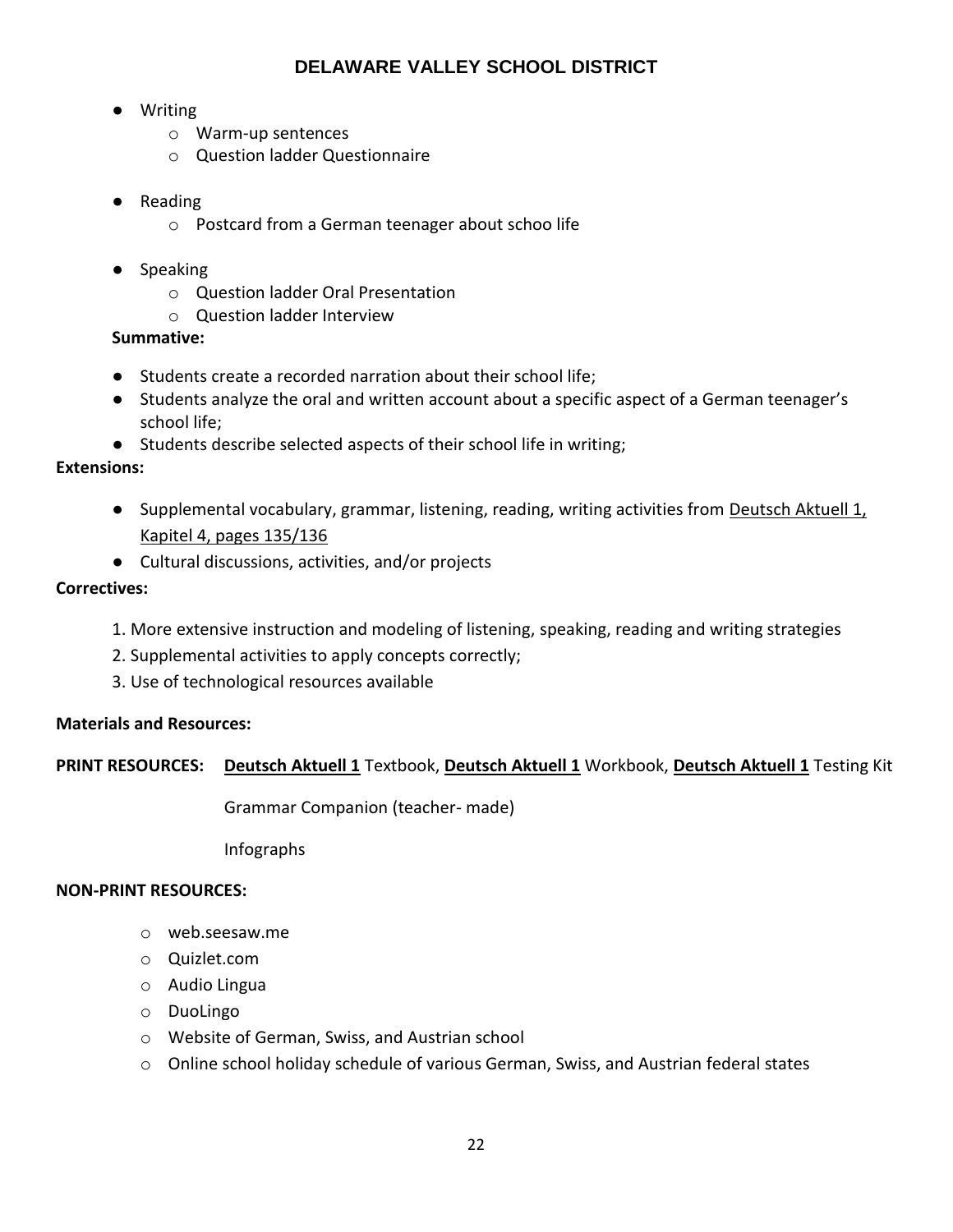- Writing
	- o Warm-up sentences
	- o Question ladder Questionnaire
- Reading
	- o Postcard from a German teenager about schoo life
- Speaking
	- o Question ladder Oral Presentation
	- o Question ladder Interview

## **Summative:**

- Students create a recorded narration about their school life;
- Students analyze the oral and written account about a specific aspect of a German teenager's school life;
- Students describe selected aspects of their school life in writing;

## **Extensions:**

- Supplemental vocabulary, grammar, listening, reading, writing activities from Deutsch Aktuell 1, Kapitel 4, pages 135/136
- Cultural discussions, activities, and/or projects

## **Correctives:**

- 1. More extensive instruction and modeling of listening, speaking, reading and writing strategies
- 2. Supplemental activities to apply concepts correctly;
- 3. Use of technological resources available

## **Materials and Resources:**

## **PRINT RESOURCES: Deutsch Aktuell 1** Textbook, **Deutsch Aktuell 1** Workbook, **Deutsch Aktuell 1** Testing Kit

Grammar Companion (teacher- made)

Infographs

## **NON-PRINT RESOURCES:**

- o web.seesaw.me
- o Quizlet.com
- o Audio Lingua
- o DuoLingo
- o Website of German, Swiss, and Austrian school
- $\circ$  Online school holiday schedule of various German, Swiss, and Austrian federal states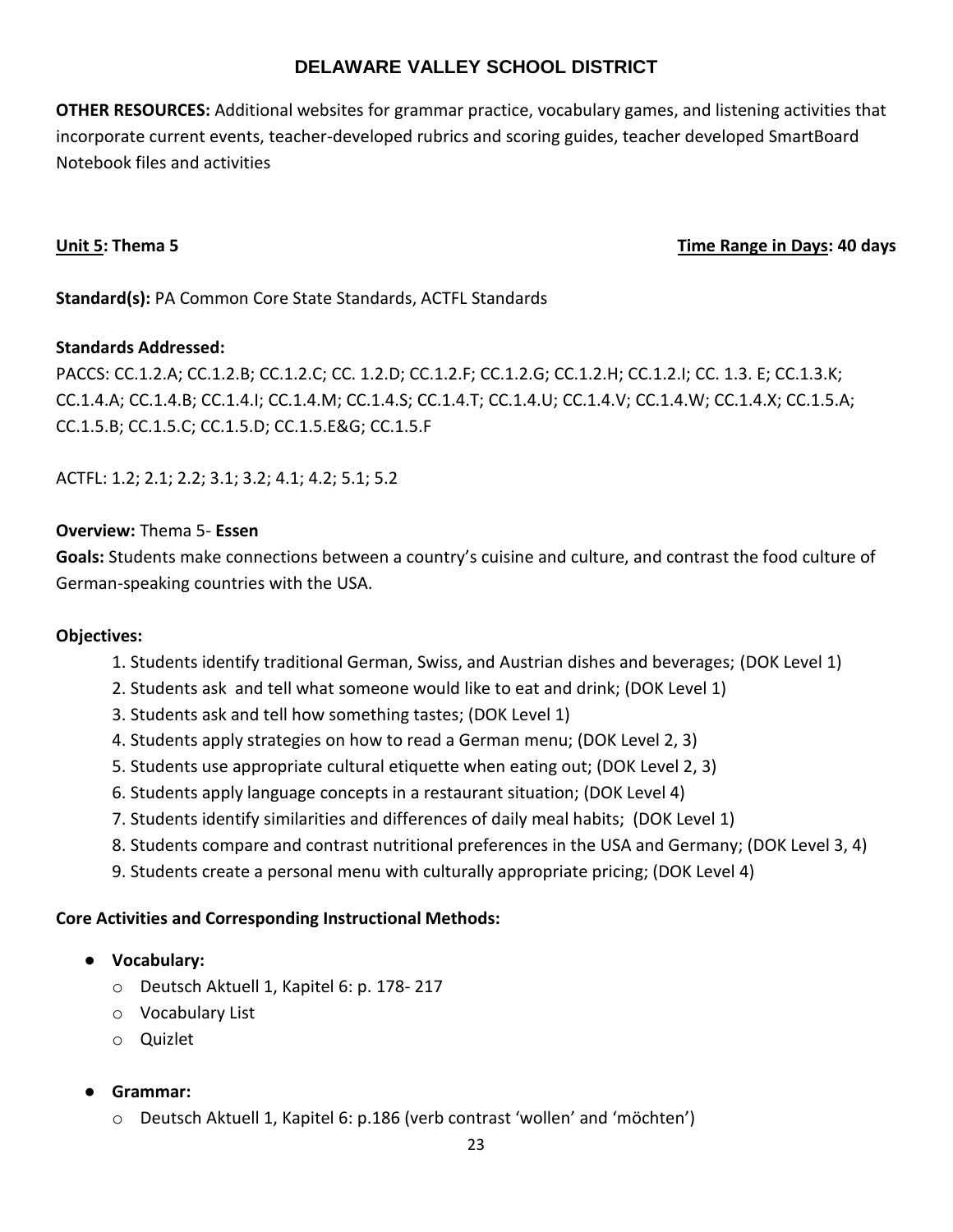**OTHER RESOURCES:** Additional websites for grammar practice, vocabulary games, and listening activities that incorporate current events, teacher-developed rubrics and scoring guides, teacher developed SmartBoard Notebook files and activities

## **Unit 5: Thema 5 Time Range in Days: 40 days**

**Standard(s):** PA Common Core State Standards, ACTFL Standards

## **Standards Addressed:**

PACCS: CC.1.2.A; CC.1.2.B; CC.1.2.C; CC. 1.2.D; CC.1.2.F; CC.1.2.G; CC.1.2.H; CC.1.2.I; CC. 1.3. E; CC.1.3.K; CC.1.4.A; CC.1.4.B; CC.1.4.I; CC.1.4.M; CC.1.4.S; CC.1.4.T; CC.1.4.U; CC.1.4.V; CC.1.4.W; CC.1.4.X; CC.1.5.A; CC.1.5.B; CC.1.5.C; CC.1.5.D; CC.1.5.E&G; CC.1.5.F

ACTFL: 1.2; 2.1; 2.2; 3.1; 3.2; 4.1; 4.2; 5.1; 5.2

## **Overview:** Thema 5- **Essen**

**Goals:** Students make connections between a country's cuisine and culture, and contrast the food culture of German-speaking countries with the USA.

## **Objectives:**

- 1. Students identify traditional German, Swiss, and Austrian dishes and beverages; (DOK Level 1)
- 2. Students ask and tell what someone would like to eat and drink; (DOK Level 1)
- 3. Students ask and tell how something tastes; (DOK Level 1)
- 4. Students apply strategies on how to read a German menu; (DOK Level 2, 3)
- 5. Students use appropriate cultural etiquette when eating out; (DOK Level 2, 3)
- 6. Students apply language concepts in a restaurant situation; (DOK Level 4)
- 7. Students identify similarities and differences of daily meal habits; (DOK Level 1)
- 8. Students compare and contrast nutritional preferences in the USA and Germany; (DOK Level 3, 4)
- 9. Students create a personal menu with culturally appropriate pricing; (DOK Level 4)

- **Vocabulary:**
	- o Deutsch Aktuell 1, Kapitel 6: p. 178- 217
	- o Vocabulary List
	- o Quizlet
- **Grammar:**
	- o Deutsch Aktuell 1, Kapitel 6: p.186 (verb contrast 'wollen' and 'möchten')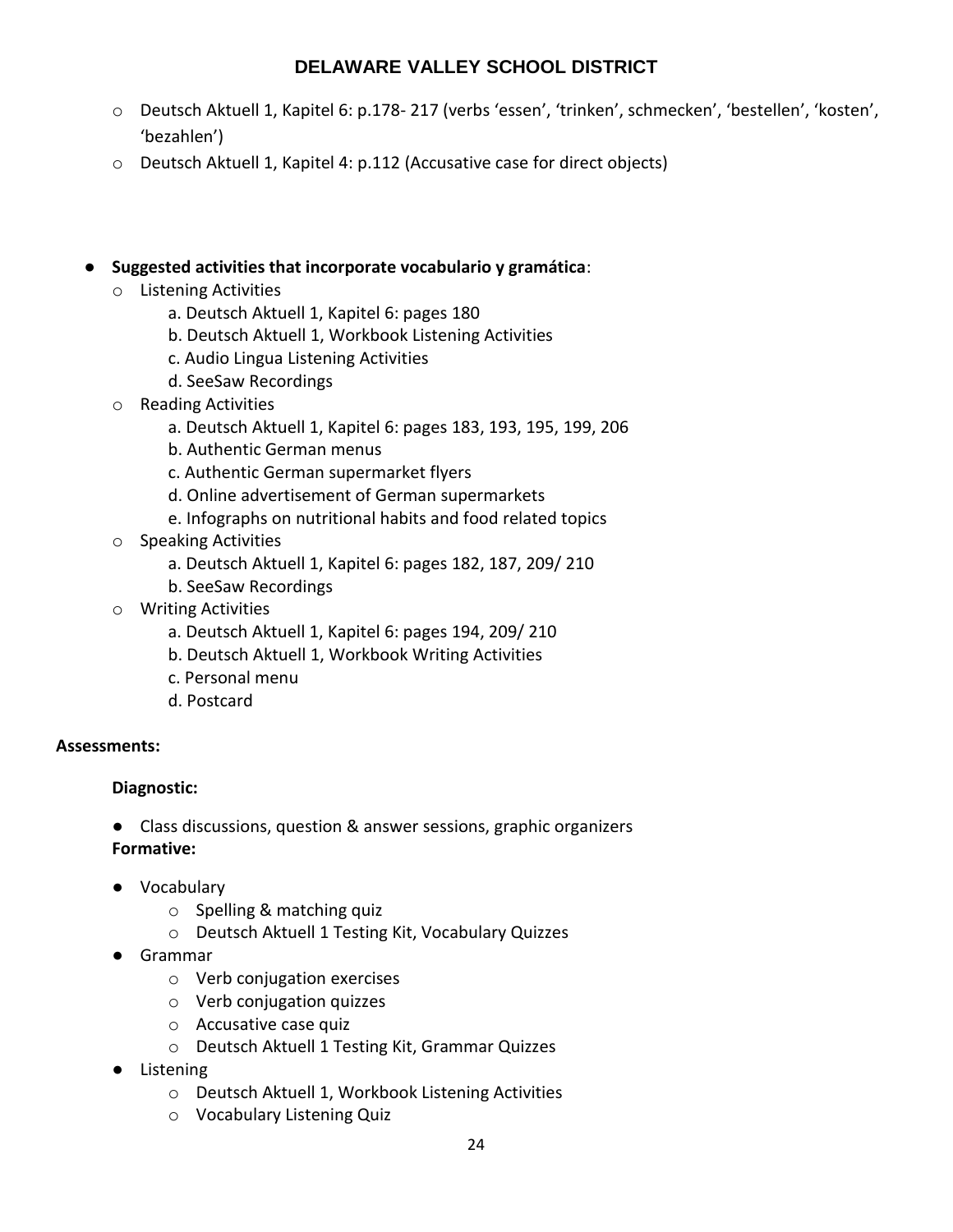- o Deutsch Aktuell 1, Kapitel 6: p.178- 217 (verbs 'essen', 'trinken', schmecken', 'bestellen', 'kosten', 'bezahlen')
- o Deutsch Aktuell 1, Kapitel 4: p.112 (Accusative case for direct objects)
- **Suggested activities that incorporate vocabulario y gramática**:
	- o Listening Activities
		- a. Deutsch Aktuell 1, Kapitel 6: pages 180
		- b. Deutsch Aktuell 1, Workbook Listening Activities
		- c. Audio Lingua Listening Activities
		- d. SeeSaw Recordings
	- o Reading Activities
		- a. Deutsch Aktuell 1, Kapitel 6: pages 183, 193, 195, 199, 206
		- b. Authentic German menus
		- c. Authentic German supermarket flyers
		- d. Online advertisement of German supermarkets
		- e. Infographs on nutritional habits and food related topics
	- o Speaking Activities
		- a. Deutsch Aktuell 1, Kapitel 6: pages 182, 187, 209/ 210
		- b. SeeSaw Recordings
	- o Writing Activities
		- a. Deutsch Aktuell 1, Kapitel 6: pages 194, 209/ 210
		- b. Deutsch Aktuell 1, Workbook Writing Activities
		- c. Personal menu
		- d. Postcard

## **Assessments:**

## **Diagnostic:**

- Class discussions, question & answer sessions, graphic organizers **Formative:**
- Vocabulary
	- o Spelling & matching quiz
	- o Deutsch Aktuell 1 Testing Kit, Vocabulary Quizzes
- Grammar
	- o Verb conjugation exercises
	- o Verb conjugation quizzes
	- o Accusative case quiz
	- o Deutsch Aktuell 1 Testing Kit, Grammar Quizzes
- Listening
	- o Deutsch Aktuell 1, Workbook Listening Activities
	- o Vocabulary Listening Quiz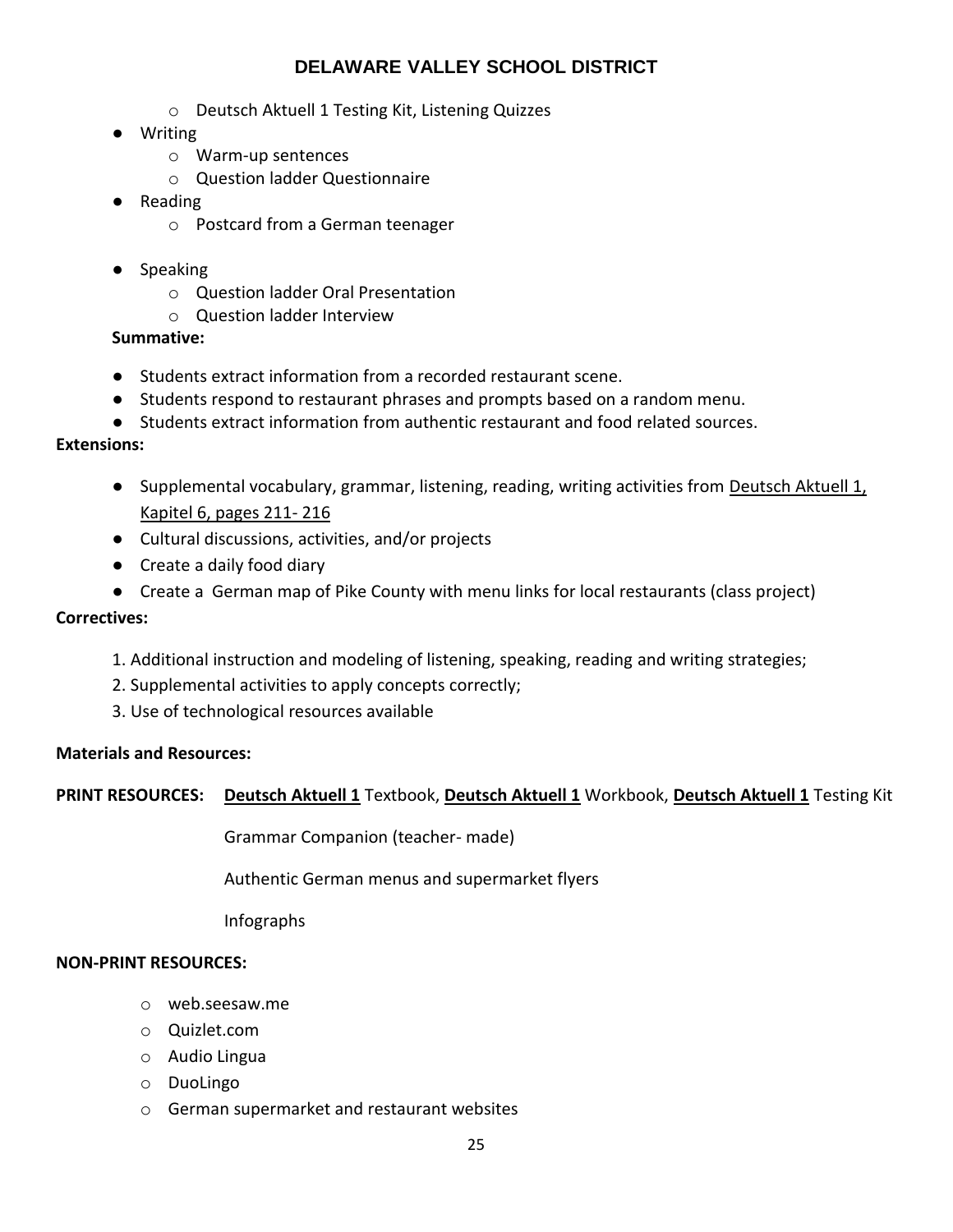- o Deutsch Aktuell 1 Testing Kit, Listening Quizzes
- Writing
	- o Warm-up sentences
	- o Question ladder Questionnaire
- Reading
	- o Postcard from a German teenager
- Speaking
	- o Question ladder Oral Presentation
	- o Question ladder Interview

## **Summative:**

- Students extract information from a recorded restaurant scene.
- Students respond to restaurant phrases and prompts based on a random menu.
- Students extract information from authentic restaurant and food related sources.

## **Extensions:**

- Supplemental vocabulary, grammar, listening, reading, writing activities from Deutsch Aktuell 1, Kapitel 6, pages 211- 216
- Cultural discussions, activities, and/or projects
- Create a daily food diary
- Create a German map of Pike County with menu links for local restaurants (class project)

## **Correctives:**

- 1. Additional instruction and modeling of listening, speaking, reading and writing strategies;
- 2. Supplemental activities to apply concepts correctly;
- 3. Use of technological resources available

## **Materials and Resources:**

## **PRINT RESOURCES: Deutsch Aktuell 1** Textbook, **Deutsch Aktuell 1** Workbook, **Deutsch Aktuell 1** Testing Kit

Grammar Companion (teacher- made)

Authentic German menus and supermarket flyers

Infographs

## **NON-PRINT RESOURCES:**

- o web.seesaw.me
- o Quizlet.com
- o Audio Lingua
- o DuoLingo
- o German supermarket and restaurant websites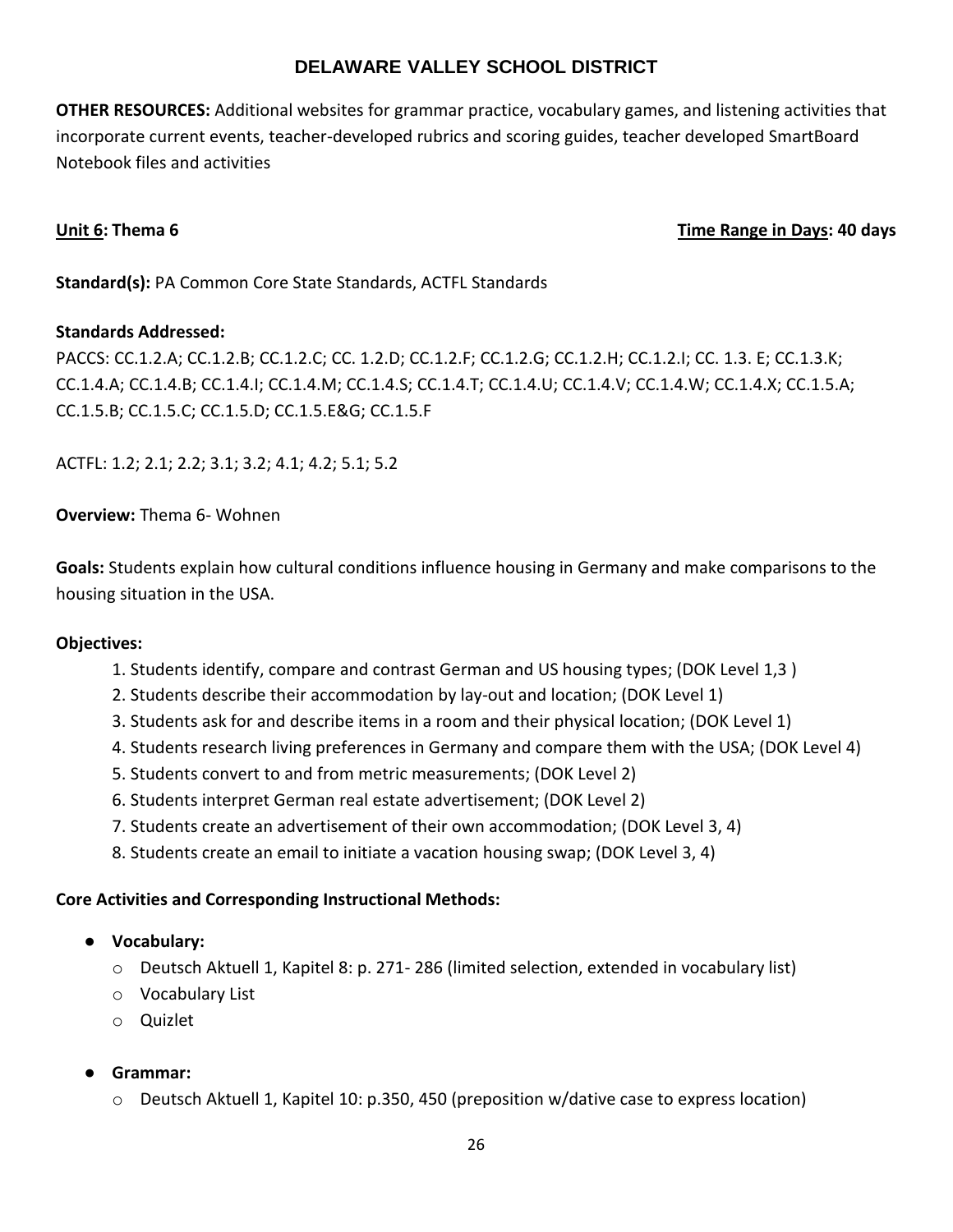**OTHER RESOURCES:** Additional websites for grammar practice, vocabulary games, and listening activities that incorporate current events, teacher-developed rubrics and scoring guides, teacher developed SmartBoard Notebook files and activities

## **Unit 6:** Thema 6 **Thema 6 Time Range in Days: 40 days**

**Standard(s):** PA Common Core State Standards, ACTFL Standards

## **Standards Addressed:**

PACCS: CC.1.2.A; CC.1.2.B; CC.1.2.C; CC. 1.2.D; CC.1.2.F; CC.1.2.G; CC.1.2.H; CC.1.2.I; CC. 1.3. E; CC.1.3.K; CC.1.4.A; CC.1.4.B; CC.1.4.I; CC.1.4.M; CC.1.4.S; CC.1.4.T; CC.1.4.U; CC.1.4.V; CC.1.4.W; CC.1.4.X; CC.1.5.A; CC.1.5.B; CC.1.5.C; CC.1.5.D; CC.1.5.E&G; CC.1.5.F

ACTFL: 1.2; 2.1; 2.2; 3.1; 3.2; 4.1; 4.2; 5.1; 5.2

**Overview:** Thema 6- Wohnen

**Goals:** Students explain how cultural conditions influence housing in Germany and make comparisons to the housing situation in the USA.

## **Objectives:**

- 1. Students identify, compare and contrast German and US housing types; (DOK Level 1,3 )
- 2. Students describe their accommodation by lay-out and location; (DOK Level 1)
- 3. Students ask for and describe items in a room and their physical location; (DOK Level 1)
- 4. Students research living preferences in Germany and compare them with the USA; (DOK Level 4)
- 5. Students convert to and from metric measurements; (DOK Level 2)
- 6. Students interpret German real estate advertisement; (DOK Level 2)
- 7. Students create an advertisement of their own accommodation; (DOK Level 3, 4)
- 8. Students create an email to initiate a vacation housing swap; (DOK Level 3, 4)

- **Vocabulary:**
	- o Deutsch Aktuell 1, Kapitel 8: p. 271- 286 (limited selection, extended in vocabulary list)
	- o Vocabulary List
	- o Quizlet
- **Grammar:**
	- $\circ$  Deutsch Aktuell 1, Kapitel 10: p.350, 450 (preposition w/dative case to express location)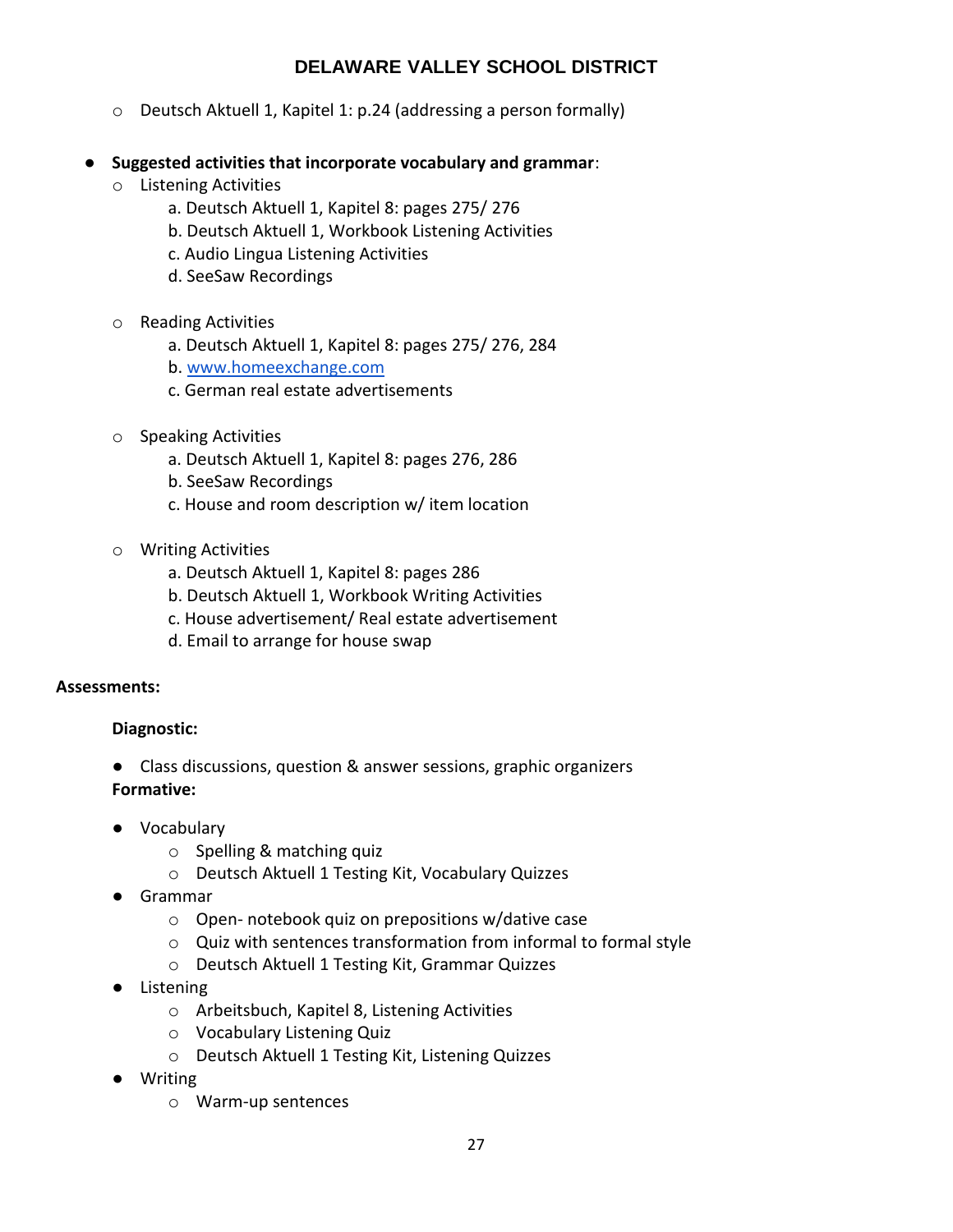- o Deutsch Aktuell 1, Kapitel 1: p.24 (addressing a person formally)
- **Suggested activities that incorporate vocabulary and grammar**:
	- o Listening Activities
		- a. Deutsch Aktuell 1, Kapitel 8: pages 275/ 276
		- b. Deutsch Aktuell 1, Workbook Listening Activities
		- c. Audio Lingua Listening Activities
		- d. SeeSaw Recordings
	- o Reading Activities
		- a. Deutsch Aktuell 1, Kapitel 8: pages 275/ 276, 284
		- b. [www.homeexchange.com](http://www.homeexchange.com/)
		- c. German real estate advertisements
	- o Speaking Activities
		- a. Deutsch Aktuell 1, Kapitel 8: pages 276, 286
		- b. SeeSaw Recordings
		- c. House and room description w/ item location
	- o Writing Activities
		- a. Deutsch Aktuell 1, Kapitel 8: pages 286
		- b. Deutsch Aktuell 1, Workbook Writing Activities
		- c. House advertisement/ Real estate advertisement
		- d. Email to arrange for house swap

## **Assessments:**

## **Diagnostic:**

- Class discussions, question & answer sessions, graphic organizers **Formative:**
- Vocabulary
	- o Spelling & matching quiz
	- o Deutsch Aktuell 1 Testing Kit, Vocabulary Quizzes
- Grammar
	- o Open- notebook quiz on prepositions w/dative case
	- o Quiz with sentences transformation from informal to formal style
	- o Deutsch Aktuell 1 Testing Kit, Grammar Quizzes
- Listening
	- o Arbeitsbuch, Kapitel 8, Listening Activities
	- o Vocabulary Listening Quiz
	- o Deutsch Aktuell 1 Testing Kit, Listening Quizzes
- Writing
	- o Warm-up sentences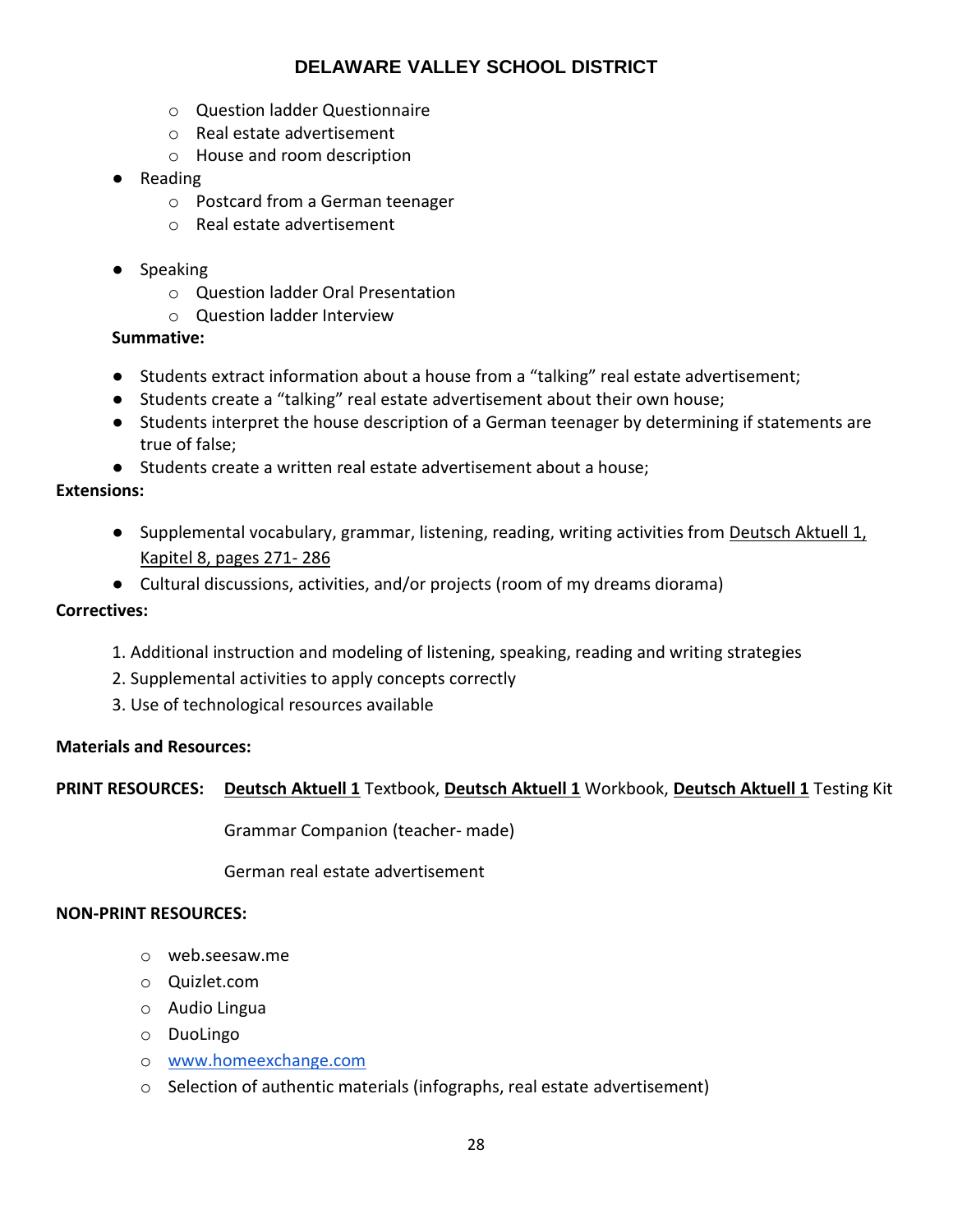- o Question ladder Questionnaire
- o Real estate advertisement
- o House and room description
- Reading
	- o Postcard from a German teenager
	- o Real estate advertisement
- Speaking
	- o Question ladder Oral Presentation
	- o Question ladder Interview

## **Summative:**

- Students extract information about a house from a "talking" real estate advertisement;
- Students create a "talking" real estate advertisement about their own house;
- Students interpret the house description of a German teenager by determining if statements are true of false;
- Students create a written real estate advertisement about a house;

## **Extensions:**

- Supplemental vocabulary, grammar, listening, reading, writing activities from Deutsch Aktuell 1, Kapitel 8, pages 271- 286
- Cultural discussions, activities, and/or projects (room of my dreams diorama)

## **Correctives:**

- 1. Additional instruction and modeling of listening, speaking, reading and writing strategies
- 2. Supplemental activities to apply concepts correctly
- 3. Use of technological resources available

## **Materials and Resources:**

## **PRINT RESOURCES: Deutsch Aktuell 1** Textbook, **Deutsch Aktuell 1** Workbook, **Deutsch Aktuell 1** Testing Kit

Grammar Companion (teacher- made)

German real estate advertisement

#### **NON-PRINT RESOURCES:**

- o web.seesaw.me
- o Quizlet.com
- o Audio Lingua
- o DuoLingo
- o [www.homeexchange.com](http://www.homeexchange.com/)
- o Selection of authentic materials (infographs, real estate advertisement)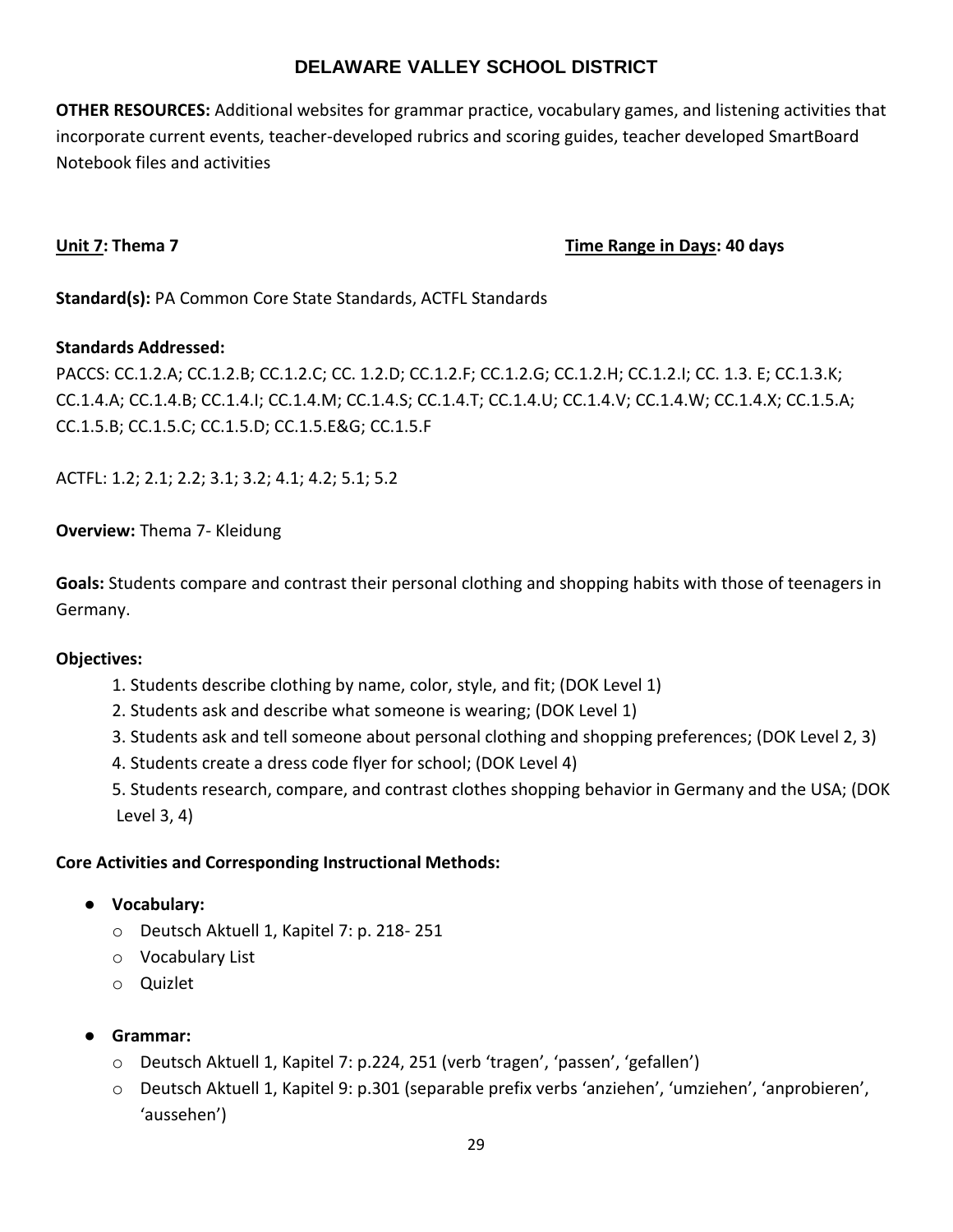**OTHER RESOURCES:** Additional websites for grammar practice, vocabulary games, and listening activities that incorporate current events, teacher-developed rubrics and scoring guides, teacher developed SmartBoard Notebook files and activities

**Unit 7: Thema 7 Time Range in Days: 40 days**

**Standard(s):** PA Common Core State Standards, ACTFL Standards

## **Standards Addressed:**

PACCS: CC.1.2.A; CC.1.2.B; CC.1.2.C; CC. 1.2.D; CC.1.2.F; CC.1.2.G; CC.1.2.H; CC.1.2.I; CC. 1.3. E; CC.1.3.K; CC.1.4.A; CC.1.4.B; CC.1.4.I; CC.1.4.M; CC.1.4.S; CC.1.4.T; CC.1.4.U; CC.1.4.V; CC.1.4.W; CC.1.4.X; CC.1.5.A; CC.1.5.B; CC.1.5.C; CC.1.5.D; CC.1.5.E&G; CC.1.5.F

ACTFL: 1.2; 2.1; 2.2; 3.1; 3.2; 4.1; 4.2; 5.1; 5.2

**Overview:** Thema 7- Kleidung

**Goals:** Students compare and contrast their personal clothing and shopping habits with those of teenagers in Germany.

## **Objectives:**

- 1. Students describe clothing by name, color, style, and fit; (DOK Level 1)
- 2. Students ask and describe what someone is wearing; (DOK Level 1)
- 3. Students ask and tell someone about personal clothing and shopping preferences; (DOK Level 2, 3)
- 4. Students create a dress code flyer for school; (DOK Level 4)
- 5. Students research, compare, and contrast clothes shopping behavior in Germany and the USA; (DOK Level 3, 4)

- **Vocabulary:**
	- o Deutsch Aktuell 1, Kapitel 7: p. 218- 251
	- o Vocabulary List
	- o Quizlet
- **Grammar:**
	- o Deutsch Aktuell 1, Kapitel 7: p.224, 251 (verb 'tragen', 'passen', 'gefallen')
	- o Deutsch Aktuell 1, Kapitel 9: p.301 (separable prefix verbs 'anziehen', 'umziehen', 'anprobieren', 'aussehen')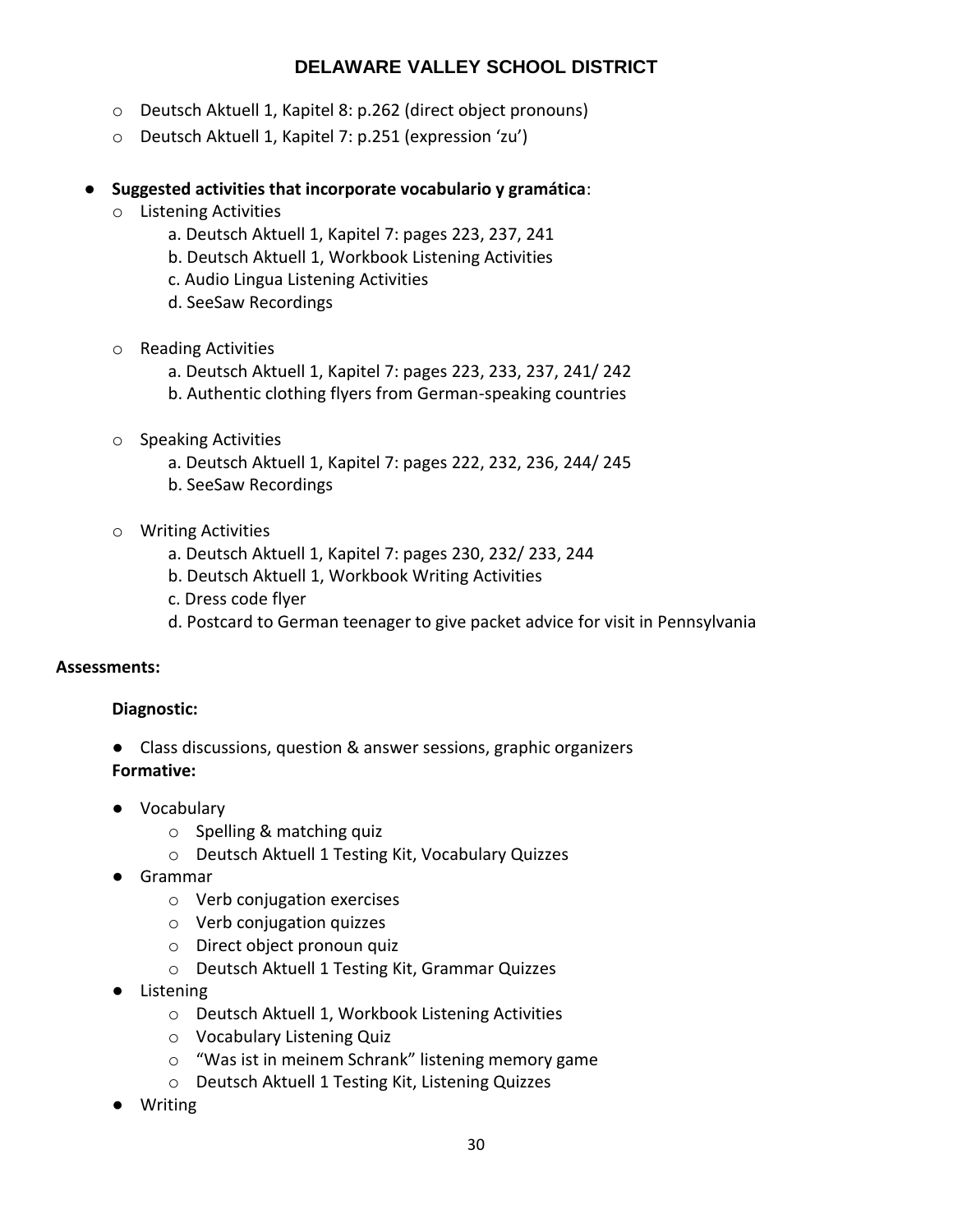- o Deutsch Aktuell 1, Kapitel 8: p.262 (direct object pronouns)
- o Deutsch Aktuell 1, Kapitel 7: p.251 (expression 'zu')
- **Suggested activities that incorporate vocabulario y gramática**:
	- o Listening Activities
		- a. Deutsch Aktuell 1, Kapitel 7: pages 223, 237, 241
		- b. Deutsch Aktuell 1, Workbook Listening Activities
		- c. Audio Lingua Listening Activities
		- d. SeeSaw Recordings
	- o Reading Activities
		- a. Deutsch Aktuell 1, Kapitel 7: pages 223, 233, 237, 241/ 242
		- b. Authentic clothing flyers from German-speaking countries
	- o Speaking Activities
		- a. Deutsch Aktuell 1, Kapitel 7: pages 222, 232, 236, 244/ 245
		- b. SeeSaw Recordings
	- o Writing Activities
		- a. Deutsch Aktuell 1, Kapitel 7: pages 230, 232/ 233, 244
		- b. Deutsch Aktuell 1, Workbook Writing Activities
		- c. Dress code flyer
		- d. Postcard to German teenager to give packet advice for visit in Pennsylvania

## **Assessments:**

## **Diagnostic:**

- Class discussions, question & answer sessions, graphic organizers **Formative:**
- Vocabulary
	- o Spelling & matching quiz
	- o Deutsch Aktuell 1 Testing Kit, Vocabulary Quizzes
- Grammar
	- o Verb conjugation exercises
	- o Verb conjugation quizzes
	- o Direct object pronoun quiz
	- o Deutsch Aktuell 1 Testing Kit, Grammar Quizzes
- Listening
	- o Deutsch Aktuell 1, Workbook Listening Activities
	- o Vocabulary Listening Quiz
	- o "Was ist in meinem Schrank" listening memory game
	- o Deutsch Aktuell 1 Testing Kit, Listening Quizzes
- **Writing**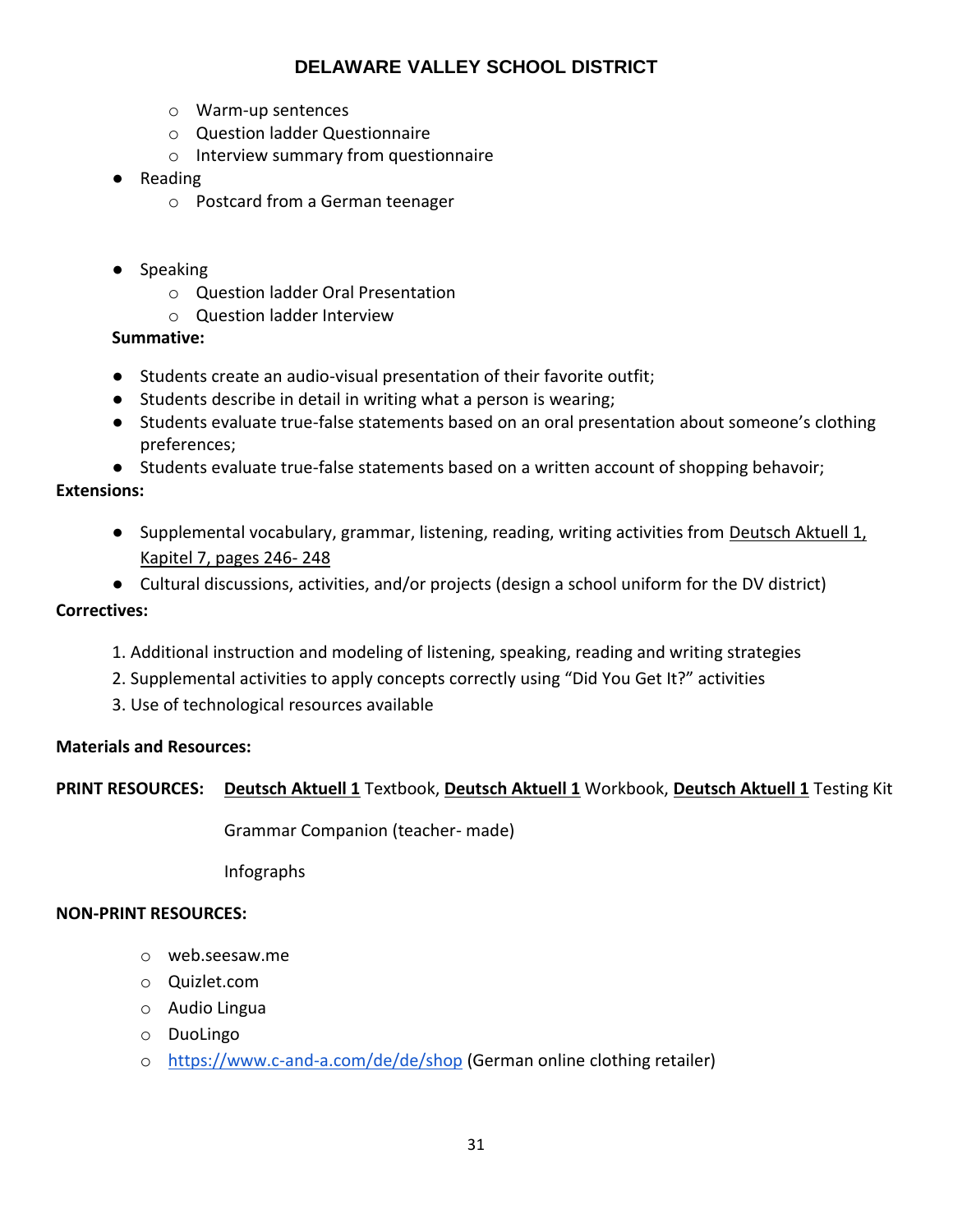- o Warm-up sentences
- o Question ladder Questionnaire
- o Interview summary from questionnaire
- Reading
	- o Postcard from a German teenager
- Speaking
	- o Question ladder Oral Presentation
	- o Question ladder Interview

## **Summative:**

- Students create an audio-visual presentation of their favorite outfit;
- Students describe in detail in writing what a person is wearing;
- Students evaluate true-false statements based on an oral presentation about someone's clothing preferences;
- Students evaluate true-false statements based on a written account of shopping behavoir;

## **Extensions:**

- Supplemental vocabulary, grammar, listening, reading, writing activities from Deutsch Aktuell 1, Kapitel 7, pages 246- 248
- Cultural discussions, activities, and/or projects (design a school uniform for the DV district)

## **Correctives:**

- 1. Additional instruction and modeling of listening, speaking, reading and writing strategies
- 2. Supplemental activities to apply concepts correctly using "Did You Get It?" activities
- 3. Use of technological resources available

## **Materials and Resources:**

## **PRINT RESOURCES: Deutsch Aktuell 1** Textbook, **Deutsch Aktuell 1** Workbook, **Deutsch Aktuell 1** Testing Kit

Grammar Companion (teacher- made)

Infographs

## **NON-PRINT RESOURCES:**

- o web.seesaw.me
- o Quizlet.com
- o Audio Lingua
- o DuoLingo
- o <https://www.c-and-a.com/de/de/shop> (German online clothing retailer)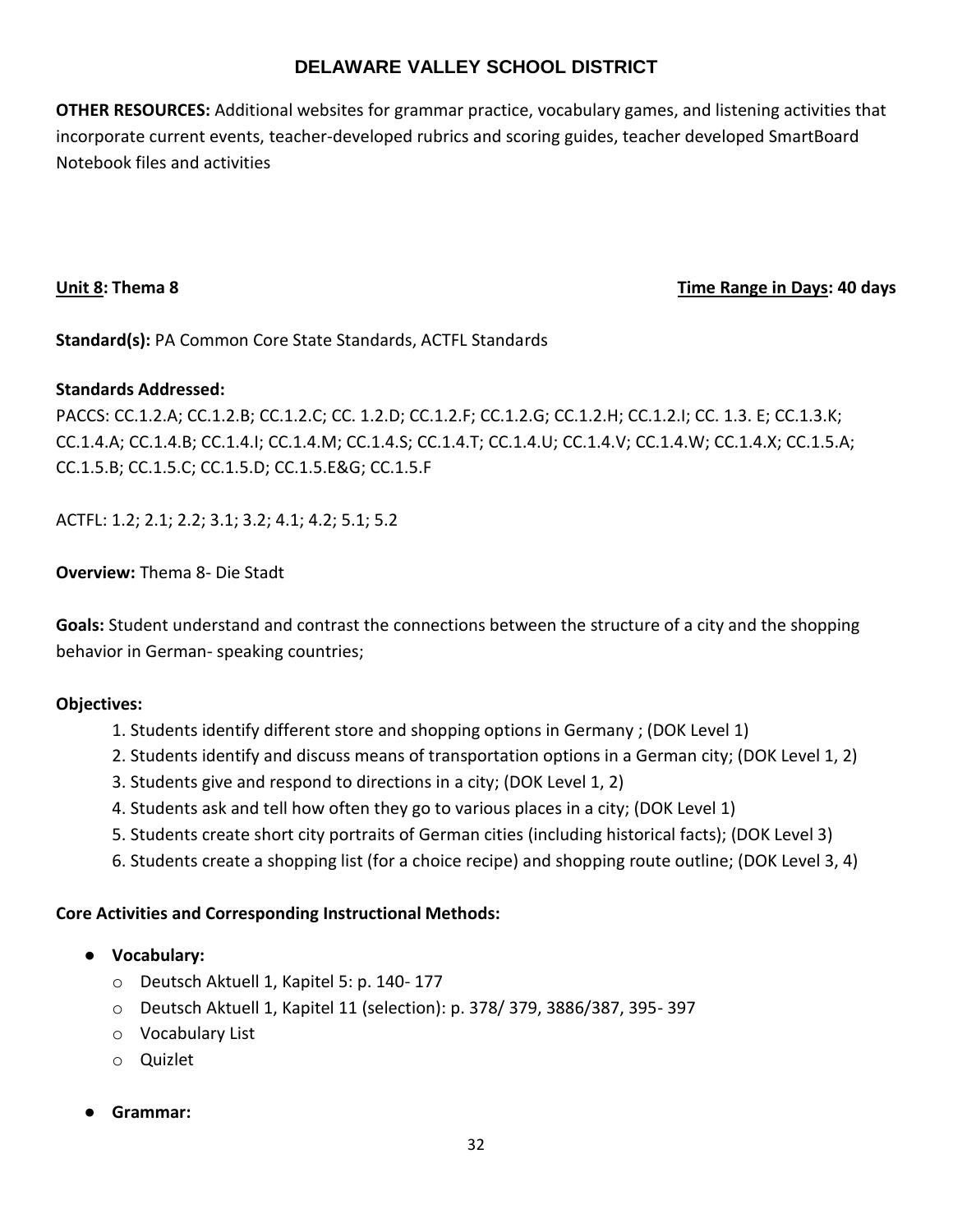**OTHER RESOURCES:** Additional websites for grammar practice, vocabulary games, and listening activities that incorporate current events, teacher-developed rubrics and scoring guides, teacher developed SmartBoard Notebook files and activities

## **Unit 8: Thema 8 Time Range in Days: 40 days**

**Standard(s):** PA Common Core State Standards, ACTFL Standards

## **Standards Addressed:**

PACCS: CC.1.2.A; CC.1.2.B; CC.1.2.C; CC. 1.2.D; CC.1.2.F; CC.1.2.G; CC.1.2.H; CC.1.2.I; CC. 1.3. E; CC.1.3.K; CC.1.4.A; CC.1.4.B; CC.1.4.I; CC.1.4.M; CC.1.4.S; CC.1.4.T; CC.1.4.U; CC.1.4.V; CC.1.4.W; CC.1.4.X; CC.1.5.A; CC.1.5.B; CC.1.5.C; CC.1.5.D; CC.1.5.E&G; CC.1.5.F

ACTFL: 1.2; 2.1; 2.2; 3.1; 3.2; 4.1; 4.2; 5.1; 5.2

**Overview:** Thema 8- Die Stadt

**Goals:** Student understand and contrast the connections between the structure of a city and the shopping behavior in German- speaking countries;

## **Objectives:**

- 1. Students identify different store and shopping options in Germany ; (DOK Level 1)
- 2. Students identify and discuss means of transportation options in a German city; (DOK Level 1, 2)
- 3. Students give and respond to directions in a city; (DOK Level 1, 2)
- 4. Students ask and tell how often they go to various places in a city; (DOK Level 1)
- 5. Students create short city portraits of German cities (including historical facts); (DOK Level 3)
- 6. Students create a shopping list (for a choice recipe) and shopping route outline; (DOK Level 3, 4)

- **Vocabulary:**
	- o Deutsch Aktuell 1, Kapitel 5: p. 140- 177
	- o Deutsch Aktuell 1, Kapitel 11 (selection): p. 378/ 379, 3886/387, 395- 397
	- o Vocabulary List
	- o Quizlet
- **Grammar:**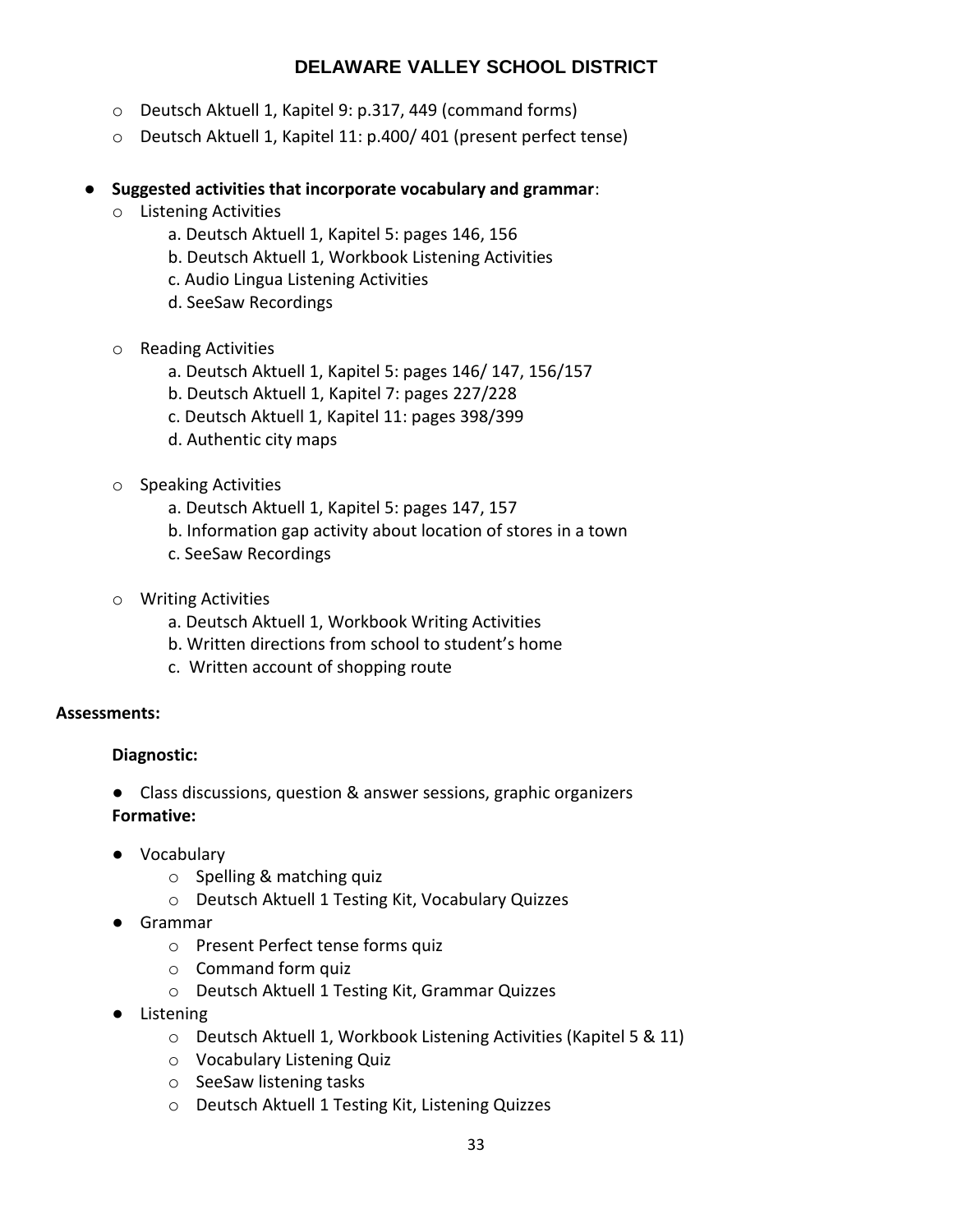- o Deutsch Aktuell 1, Kapitel 9: p.317, 449 (command forms)
- o Deutsch Aktuell 1, Kapitel 11: p.400/ 401 (present perfect tense)

## ● **Suggested activities that incorporate vocabulary and grammar**:

- o Listening Activities
	- a. Deutsch Aktuell 1, Kapitel 5: pages 146, 156
	- b. Deutsch Aktuell 1, Workbook Listening Activities
	- c. Audio Lingua Listening Activities
	- d. SeeSaw Recordings
- o Reading Activities
	- a. Deutsch Aktuell 1, Kapitel 5: pages 146/ 147, 156/157
	- b. Deutsch Aktuell 1, Kapitel 7: pages 227/228
	- c. Deutsch Aktuell 1, Kapitel 11: pages 398/399
	- d. Authentic city maps
- o Speaking Activities
	- a. Deutsch Aktuell 1, Kapitel 5: pages 147, 157
	- b. Information gap activity about location of stores in a town
	- c. SeeSaw Recordings
- o Writing Activities
	- a. Deutsch Aktuell 1, Workbook Writing Activities
	- b. Written directions from school to student's home
	- c. Written account of shopping route

## **Assessments:**

## **Diagnostic:**

- Class discussions, question & answer sessions, graphic organizers **Formative:**
- Vocabulary
	- o Spelling & matching quiz
	- o Deutsch Aktuell 1 Testing Kit, Vocabulary Quizzes
- Grammar
	- o Present Perfect tense forms quiz
	- o Command form quiz
	- o Deutsch Aktuell 1 Testing Kit, Grammar Quizzes
- Listening
	- o Deutsch Aktuell 1, Workbook Listening Activities (Kapitel 5 & 11)
	- o Vocabulary Listening Quiz
	- o SeeSaw listening tasks
	- o Deutsch Aktuell 1 Testing Kit, Listening Quizzes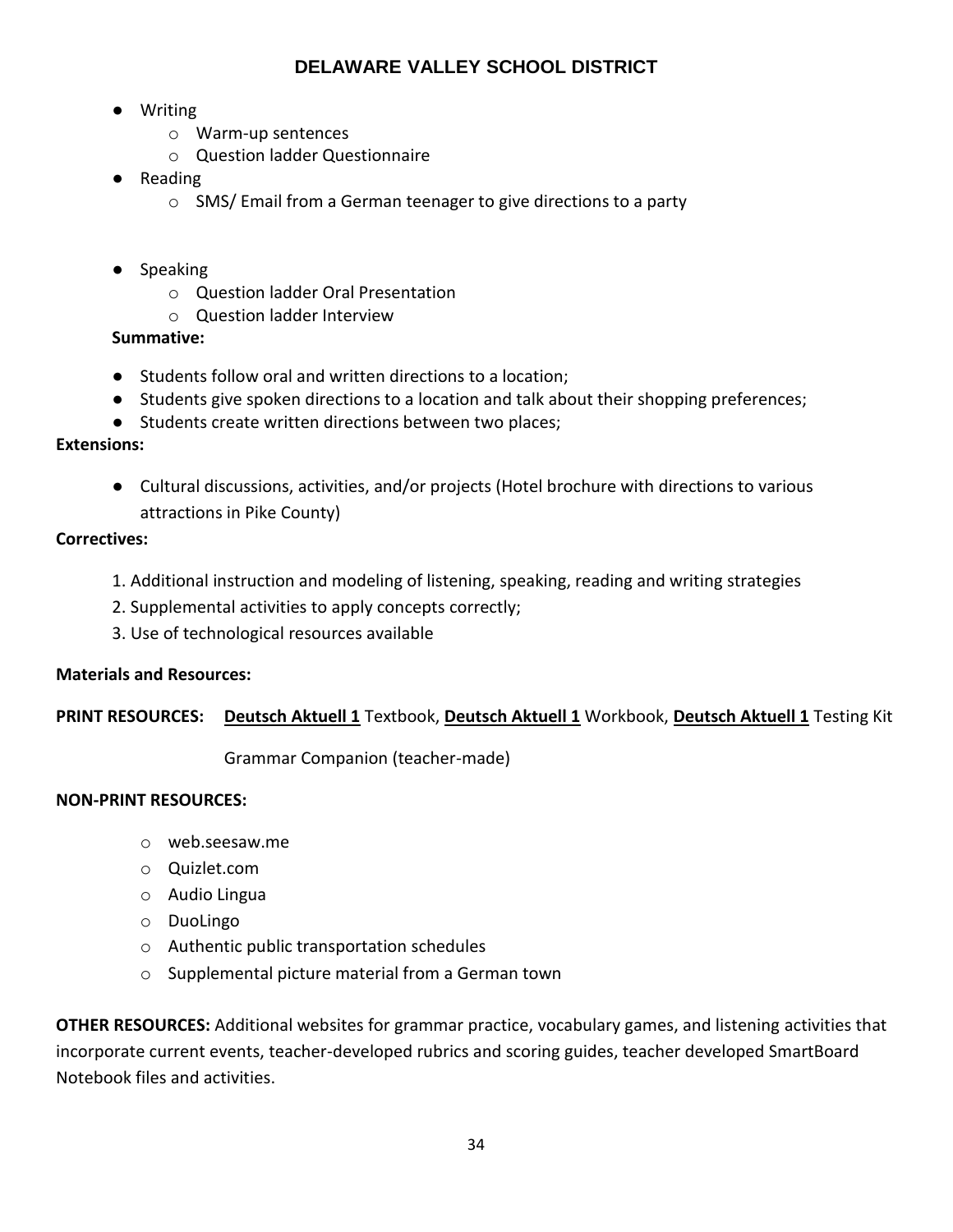- Writing
	- o Warm-up sentences
	- o Question ladder Questionnaire
- Reading
	- o SMS/ Email from a German teenager to give directions to a party
- Speaking
	- o Question ladder Oral Presentation
	- o Question ladder Interview

## **Summative:**

- Students follow oral and written directions to a location;
- Students give spoken directions to a location and talk about their shopping preferences;
- Students create written directions between two places;

## **Extensions:**

● Cultural discussions, activities, and/or projects (Hotel brochure with directions to various attractions in Pike County)

## **Correctives:**

- 1. Additional instruction and modeling of listening, speaking, reading and writing strategies
- 2. Supplemental activities to apply concepts correctly;
- 3. Use of technological resources available

## **Materials and Resources:**

## **PRINT RESOURCES: Deutsch Aktuell 1** Textbook, **Deutsch Aktuell 1** Workbook, **Deutsch Aktuell 1** Testing Kit

Grammar Companion (teacher-made)

## **NON-PRINT RESOURCES:**

- o web.seesaw.me
- o Quizlet.com
- o Audio Lingua
- o DuoLingo
- o Authentic public transportation schedules
- o Supplemental picture material from a German town

**OTHER RESOURCES:** Additional websites for grammar practice, vocabulary games, and listening activities that incorporate current events, teacher-developed rubrics and scoring guides, teacher developed SmartBoard Notebook files and activities.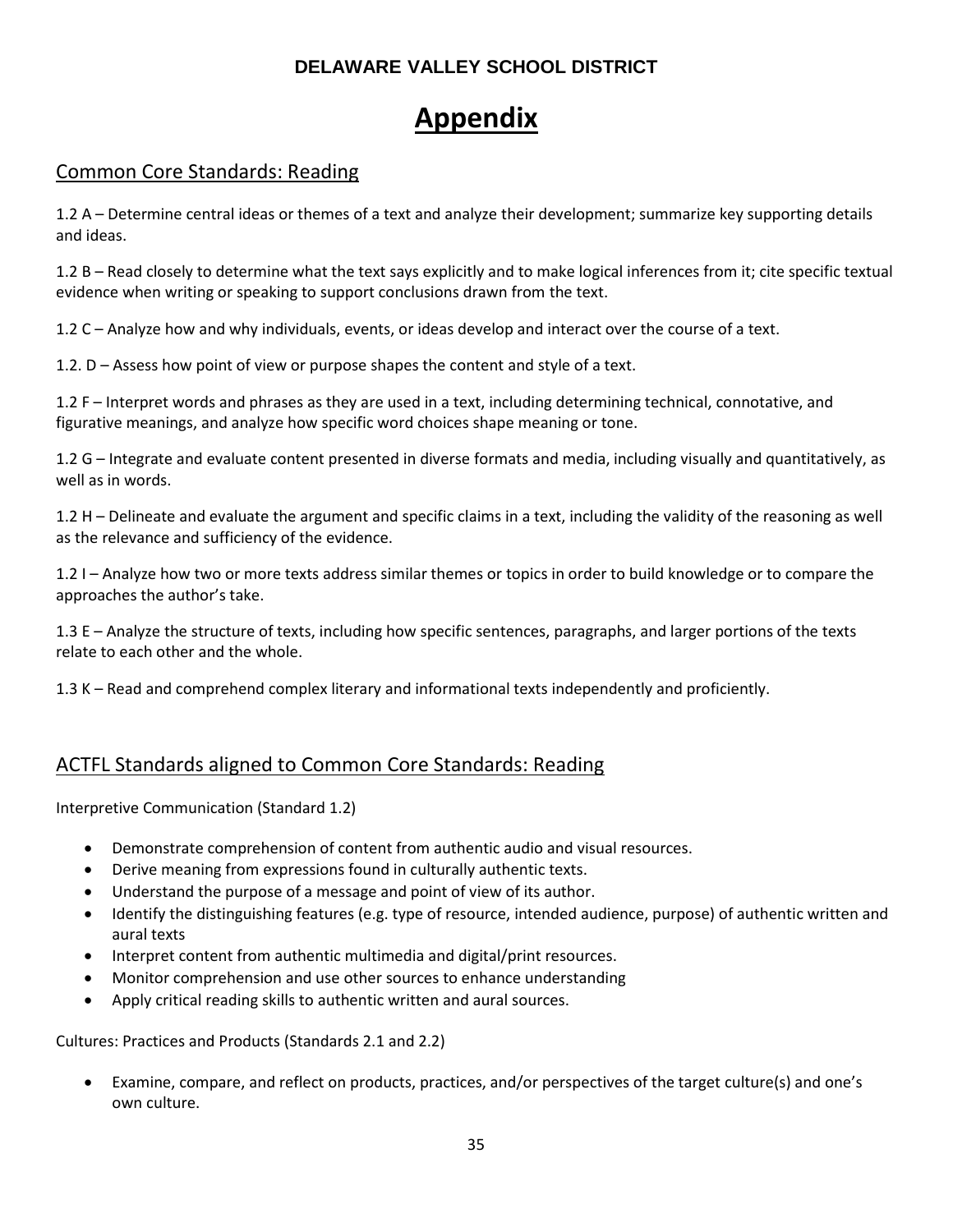# **Appendix**

## Common Core Standards: Reading

1.2 A – Determine central ideas or themes of a text and analyze their development; summarize key supporting details and ideas.

1.2 B – Read closely to determine what the text says explicitly and to make logical inferences from it; cite specific textual evidence when writing or speaking to support conclusions drawn from the text.

1.2 C – Analyze how and why individuals, events, or ideas develop and interact over the course of a text.

1.2. D – Assess how point of view or purpose shapes the content and style of a text.

1.2 F – Interpret words and phrases as they are used in a text, including determining technical, connotative, and figurative meanings, and analyze how specific word choices shape meaning or tone.

1.2 G – Integrate and evaluate content presented in diverse formats and media, including visually and quantitatively, as well as in words.

1.2 H – Delineate and evaluate the argument and specific claims in a text, including the validity of the reasoning as well as the relevance and sufficiency of the evidence.

1.2 I – Analyze how two or more texts address similar themes or topics in order to build knowledge or to compare the approaches the author's take.

1.3 E – Analyze the structure of texts, including how specific sentences, paragraphs, and larger portions of the texts relate to each other and the whole.

1.3 K – Read and comprehend complex literary and informational texts independently and proficiently.

## ACTFL Standards aligned to Common Core Standards: Reading

Interpretive Communication (Standard 1.2)

- Demonstrate comprehension of content from authentic audio and visual resources.
- Derive meaning from expressions found in culturally authentic texts.
- Understand the purpose of a message and point of view of its author.
- Identify the distinguishing features (e.g. type of resource, intended audience, purpose) of authentic written and aural texts
- Interpret content from authentic multimedia and digital/print resources.
- Monitor comprehension and use other sources to enhance understanding
- Apply critical reading skills to authentic written and aural sources.

Cultures: Practices and Products (Standards 2.1 and 2.2)

 Examine, compare, and reflect on products, practices, and/or perspectives of the target culture(s) and one's own culture.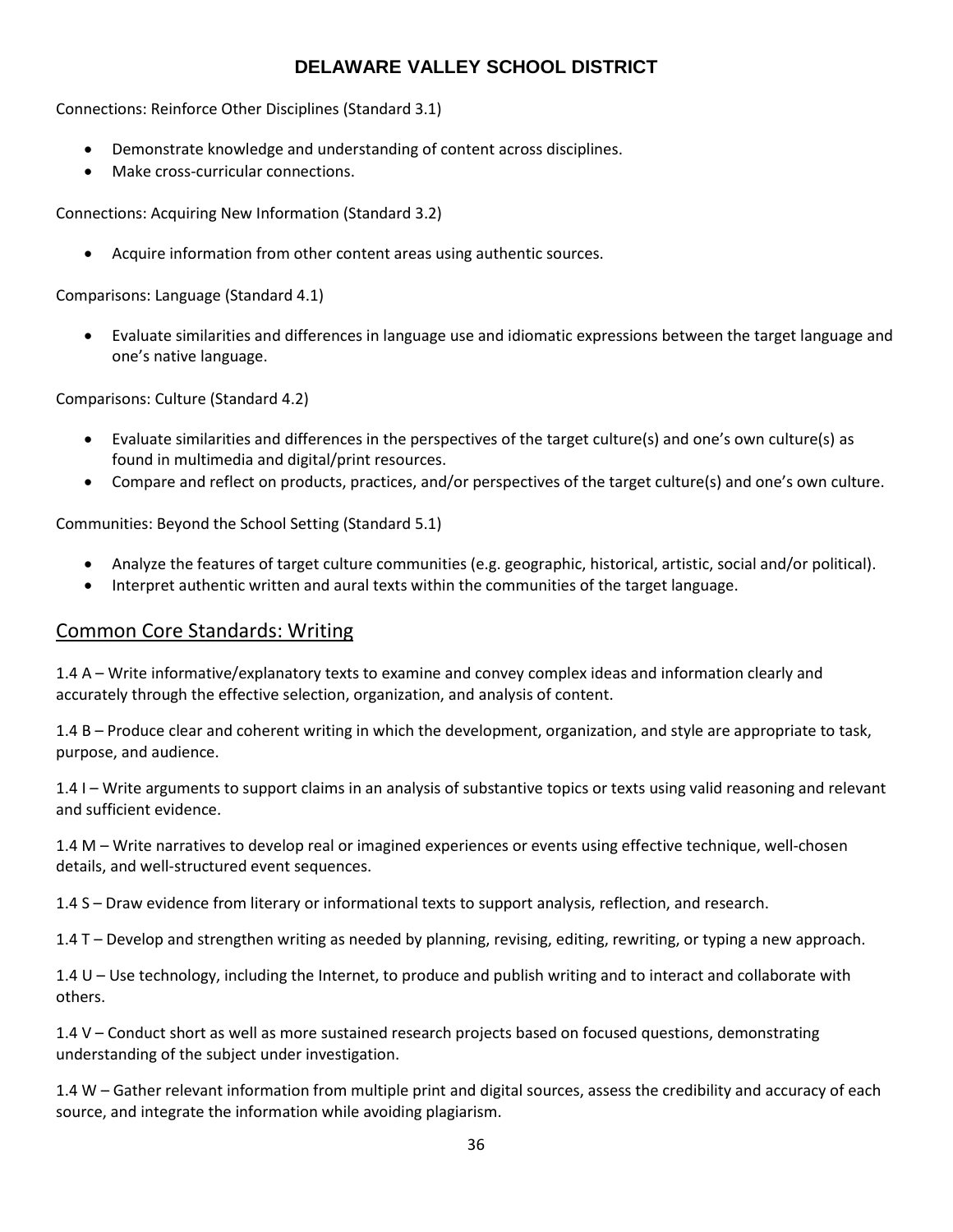Connections: Reinforce Other Disciplines (Standard 3.1)

- Demonstrate knowledge and understanding of content across disciplines.
- Make cross-curricular connections.

Connections: Acquiring New Information (Standard 3.2)

Acquire information from other content areas using authentic sources.

Comparisons: Language (Standard 4.1)

 Evaluate similarities and differences in language use and idiomatic expressions between the target language and one's native language.

Comparisons: Culture (Standard 4.2)

- Evaluate similarities and differences in the perspectives of the target culture(s) and one's own culture(s) as found in multimedia and digital/print resources.
- Compare and reflect on products, practices, and/or perspectives of the target culture(s) and one's own culture.

Communities: Beyond the School Setting (Standard 5.1)

- Analyze the features of target culture communities (e.g. geographic, historical, artistic, social and/or political).
- Interpret authentic written and aural texts within the communities of the target language.

## Common Core Standards: Writing

1.4 A – Write informative/explanatory texts to examine and convey complex ideas and information clearly and accurately through the effective selection, organization, and analysis of content.

1.4 B – Produce clear and coherent writing in which the development, organization, and style are appropriate to task, purpose, and audience.

1.4 I – Write arguments to support claims in an analysis of substantive topics or texts using valid reasoning and relevant and sufficient evidence.

1.4 M – Write narratives to develop real or imagined experiences or events using effective technique, well-chosen details, and well-structured event sequences.

1.4 S – Draw evidence from literary or informational texts to support analysis, reflection, and research.

1.4 T – Develop and strengthen writing as needed by planning, revising, editing, rewriting, or typing a new approach.

1.4 U – Use technology, including the Internet, to produce and publish writing and to interact and collaborate with others.

1.4 V – Conduct short as well as more sustained research projects based on focused questions, demonstrating understanding of the subject under investigation.

1.4 W – Gather relevant information from multiple print and digital sources, assess the credibility and accuracy of each source, and integrate the information while avoiding plagiarism.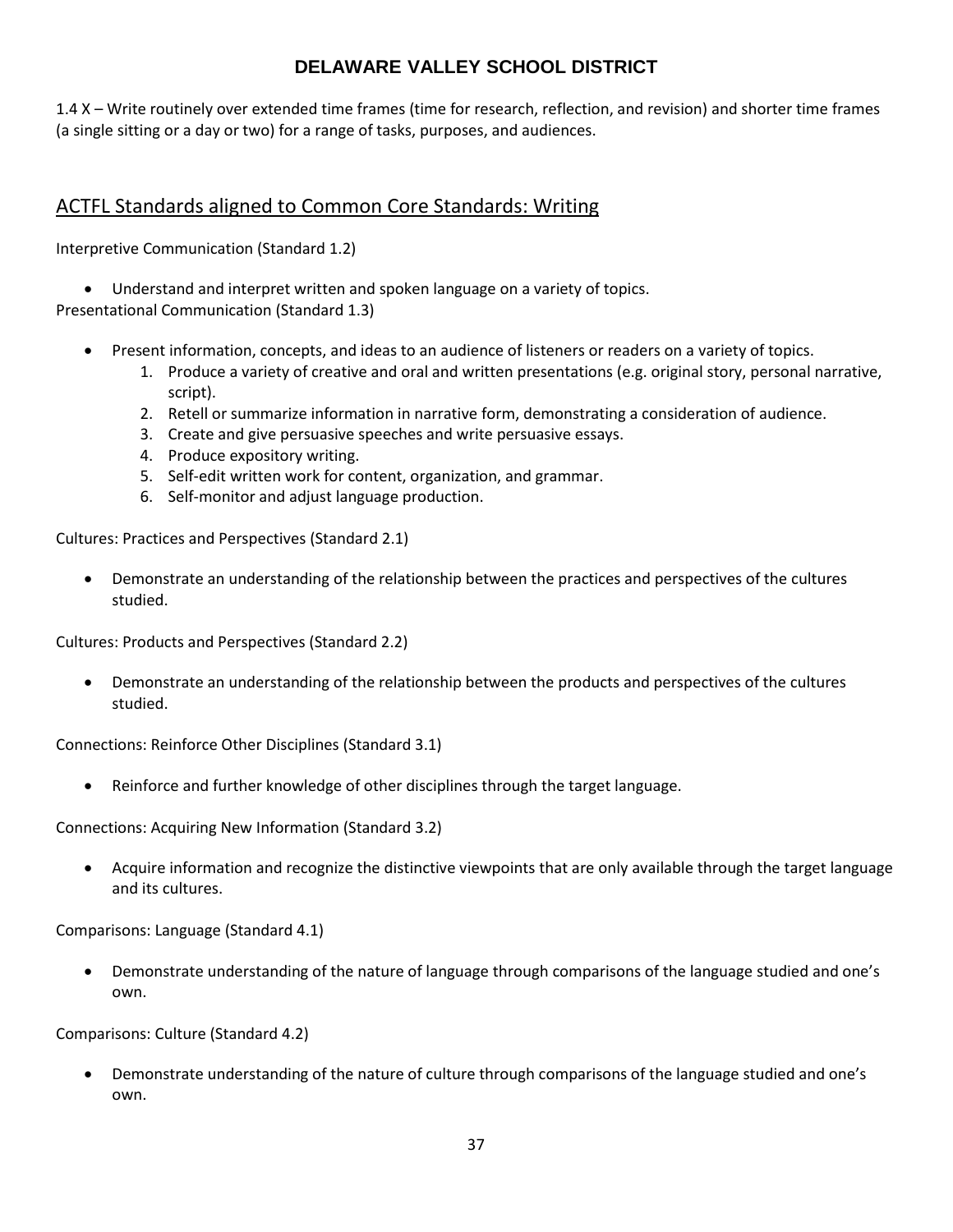1.4 X – Write routinely over extended time frames (time for research, reflection, and revision) and shorter time frames (a single sitting or a day or two) for a range of tasks, purposes, and audiences.

## ACTFL Standards aligned to Common Core Standards: Writing

Interpretive Communication (Standard 1.2)

Understand and interpret written and spoken language on a variety of topics.

Presentational Communication (Standard 1.3)

- Present information, concepts, and ideas to an audience of listeners or readers on a variety of topics.
	- 1. Produce a variety of creative and oral and written presentations (e.g. original story, personal narrative, script).
	- 2. Retell or summarize information in narrative form, demonstrating a consideration of audience.
	- 3. Create and give persuasive speeches and write persuasive essays.
	- 4. Produce expository writing.
	- 5. Self-edit written work for content, organization, and grammar.
	- 6. Self-monitor and adjust language production.

Cultures: Practices and Perspectives (Standard 2.1)

 Demonstrate an understanding of the relationship between the practices and perspectives of the cultures studied.

Cultures: Products and Perspectives (Standard 2.2)

 Demonstrate an understanding of the relationship between the products and perspectives of the cultures studied.

Connections: Reinforce Other Disciplines (Standard 3.1)

Reinforce and further knowledge of other disciplines through the target language.

Connections: Acquiring New Information (Standard 3.2)

 Acquire information and recognize the distinctive viewpoints that are only available through the target language and its cultures.

Comparisons: Language (Standard 4.1)

 Demonstrate understanding of the nature of language through comparisons of the language studied and one's own.

Comparisons: Culture (Standard 4.2)

 Demonstrate understanding of the nature of culture through comparisons of the language studied and one's own.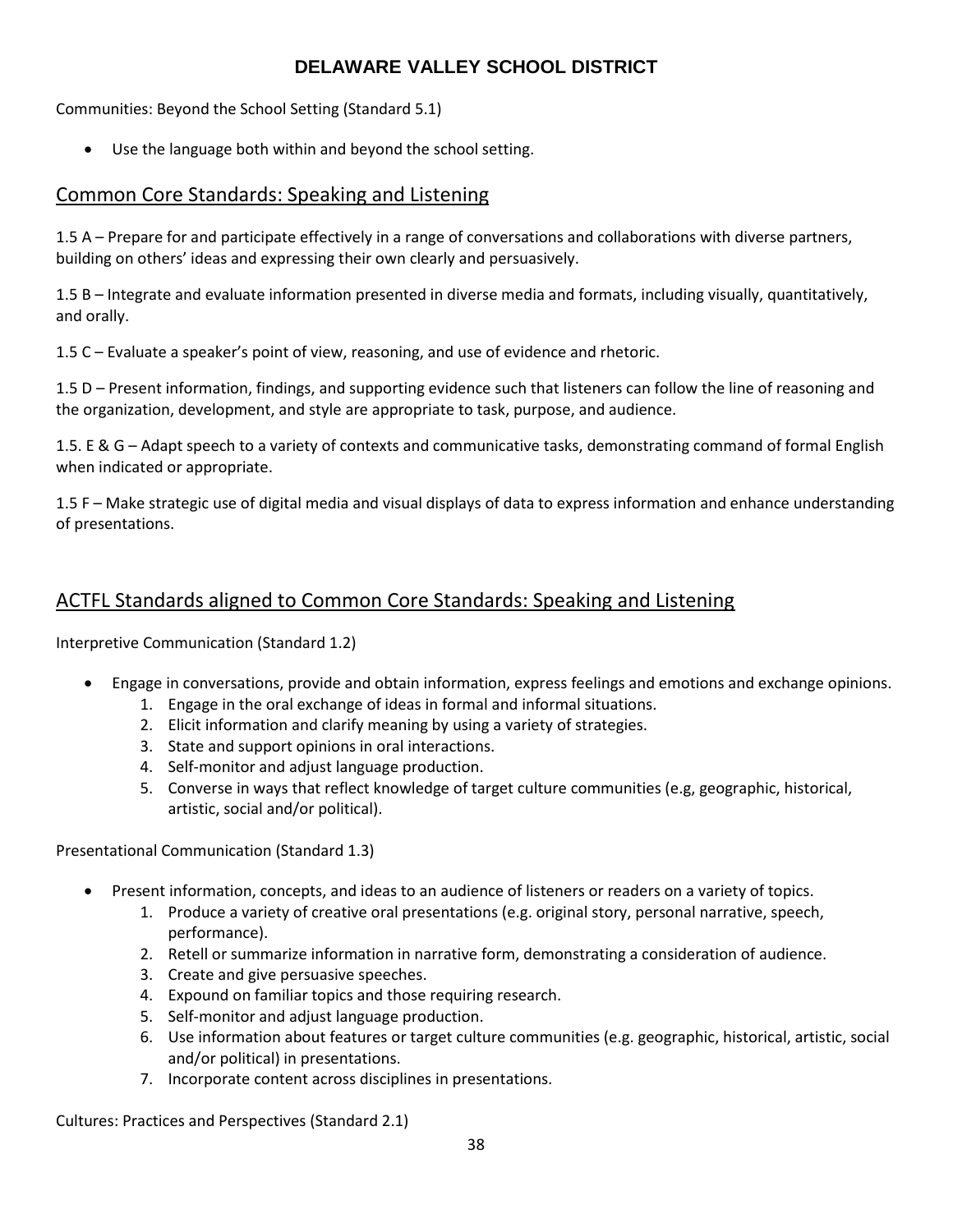Communities: Beyond the School Setting (Standard 5.1)

Use the language both within and beyond the school setting.

## Common Core Standards: Speaking and Listening

1.5 A – Prepare for and participate effectively in a range of conversations and collaborations with diverse partners, building on others' ideas and expressing their own clearly and persuasively.

1.5 B – Integrate and evaluate information presented in diverse media and formats, including visually, quantitatively, and orally.

1.5 C – Evaluate a speaker's point of view, reasoning, and use of evidence and rhetoric.

1.5 D – Present information, findings, and supporting evidence such that listeners can follow the line of reasoning and the organization, development, and style are appropriate to task, purpose, and audience.

1.5. E & G – Adapt speech to a variety of contexts and communicative tasks, demonstrating command of formal English when indicated or appropriate.

1.5 F – Make strategic use of digital media and visual displays of data to express information and enhance understanding of presentations.

## ACTFL Standards aligned to Common Core Standards: Speaking and Listening

Interpretive Communication (Standard 1.2)

- Engage in conversations, provide and obtain information, express feelings and emotions and exchange opinions.
	- 1. Engage in the oral exchange of ideas in formal and informal situations.
	- 2. Elicit information and clarify meaning by using a variety of strategies.
	- 3. State and support opinions in oral interactions.
	- 4. Self-monitor and adjust language production.
	- 5. Converse in ways that reflect knowledge of target culture communities (e.g, geographic, historical, artistic, social and/or political).

Presentational Communication (Standard 1.3)

- Present information, concepts, and ideas to an audience of listeners or readers on a variety of topics.
	- 1. Produce a variety of creative oral presentations (e.g. original story, personal narrative, speech, performance).
	- 2. Retell or summarize information in narrative form, demonstrating a consideration of audience.
	- 3. Create and give persuasive speeches.
	- 4. Expound on familiar topics and those requiring research.
	- 5. Self-monitor and adjust language production.
	- 6. Use information about features or target culture communities (e.g. geographic, historical, artistic, social and/or political) in presentations.
	- 7. Incorporate content across disciplines in presentations.

Cultures: Practices and Perspectives (Standard 2.1)